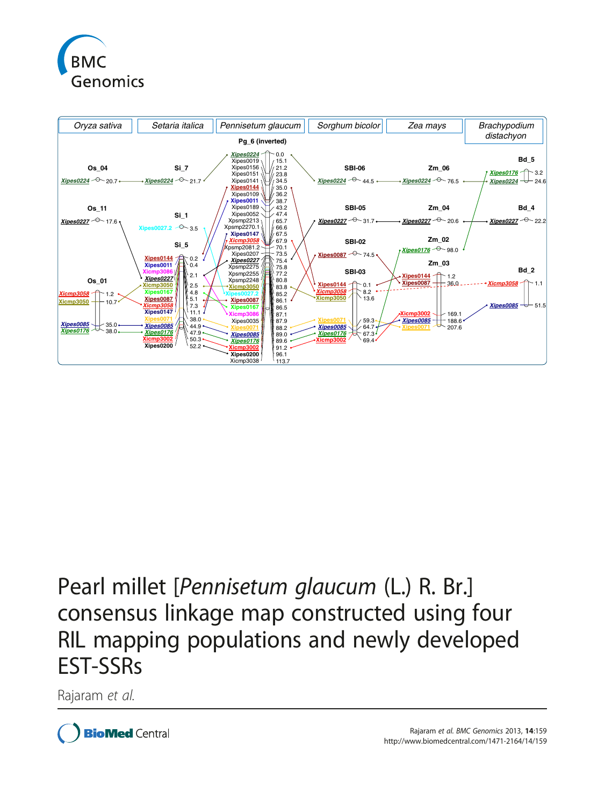



# Pearl millet [Pennisetum glaucum (L.) R. Br.] consensus linkage map constructed using four RIL mapping populations and newly developed EST-SSRs

Rajaram et al.

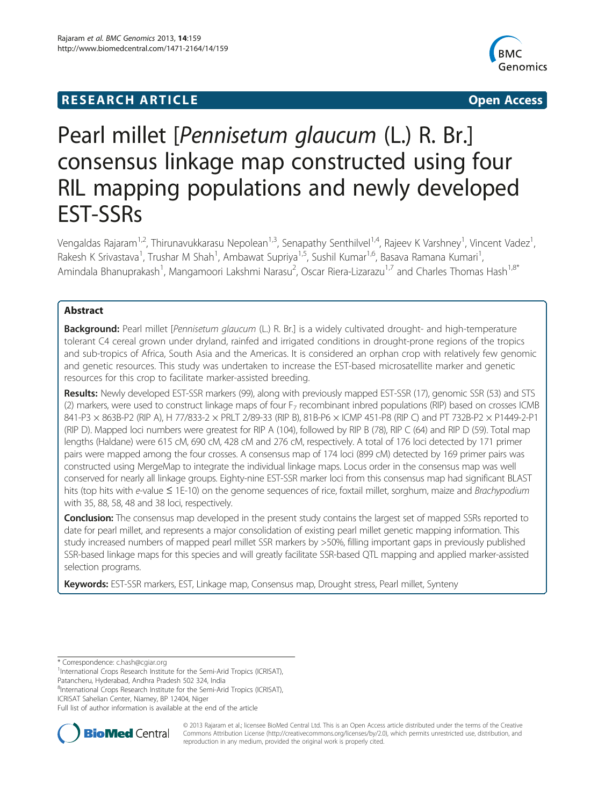## **RESEARCH ARTICLE Example 2014 The SEAR CH ACCESS**



## Pearl millet [Pennisetum glaucum (L.) R. Br.] consensus linkage map constructed using four RIL mapping populations and newly developed EST-SSRs

Vengaldas Rajaram<sup>1,2</sup>, Thirunavukkarasu Nepolean<sup>1,3</sup>, Senapathy Senthilvel<sup>1,4</sup>, Rajeev K Varshney<sup>1</sup>, Vincent Vadez<sup>1</sup> , Rakesh K Srivastava<sup>1</sup>, Trushar M Shah<sup>1</sup>, Ambawat Supriya<sup>1,5</sup>, Sushil Kumar<sup>1,6</sup>, Basava Ramana Kumari<sup>1</sup> , Amindala Bhanuprakash<sup>1</sup>, Mangamoori Lakshmi Narasu<sup>2</sup>, Oscar Riera-Lizarazu<sup>1,7</sup> and Charles Thomas Hash<sup>1,8\*</sup>

## Abstract

Background: Pearl millet [Pennisetum glaucum (L.) R. Br.] is a widely cultivated drought- and high-temperature tolerant C4 cereal grown under dryland, rainfed and irrigated conditions in drought-prone regions of the tropics and sub-tropics of Africa, South Asia and the Americas. It is considered an orphan crop with relatively few genomic and genetic resources. This study was undertaken to increase the EST-based microsatellite marker and genetic resources for this crop to facilitate marker-assisted breeding.

Results: Newly developed EST-SSR markers (99), along with previously mapped EST-SSR (17), genomic SSR (53) and STS (2) markers, were used to construct linkage maps of four  $F<sub>7</sub>$  recombinant inbred populations (RIP) based on crosses ICMB 841-P3 × 863B-P2 (RIP A), H 77/833-2 × PRLT 2/89-33 (RIP B), 81B-P6 × ICMP 451-P8 (RIP C) and PT 732B-P2 × P1449-2-P1 (RIP D). Mapped loci numbers were greatest for RIP A (104), followed by RIP B (78), RIP C (64) and RIP D (59). Total map lengths (Haldane) were 615 cM, 690 cM, 428 cM and 276 cM, respectively. A total of 176 loci detected by 171 primer pairs were mapped among the four crosses. A consensus map of 174 loci (899 cM) detected by 169 primer pairs was constructed using MergeMap to integrate the individual linkage maps. Locus order in the consensus map was well conserved for nearly all linkage groups. Eighty-nine EST-SSR marker loci from this consensus map had significant BLAST hits (top hits with e-value ≤ 1E-10) on the genome sequences of rice, foxtail millet, sorghum, maize and Brachypodium with 35, 88, 58, 48 and 38 loci, respectively.

**Conclusion:** The consensus map developed in the present study contains the largest set of mapped SSRs reported to date for pearl millet, and represents a major consolidation of existing pearl millet genetic mapping information. This study increased numbers of mapped pearl millet SSR markers by >50%, filling important gaps in previously published SSR-based linkage maps for this species and will greatly facilitate SSR-based QTL mapping and applied marker-assisted selection programs.

Keywords: EST-SSR markers, EST, Linkage map, Consensus map, Drought stress, Pearl millet, Synteny

\* Correspondence: [c.hash@cgiar.org](mailto:c.hash@cgiar.org) <sup>1</sup>

<sup>1</sup>International Crops Research Institute for the Semi-Arid Tropics (ICRISAT), Patancheru, Hyderabad, Andhra Pradesh 502 324, India

<sup>8</sup>International Crops Research Institute for the Semi-Arid Tropics (ICRISAT), ICRISAT Sahelian Center, Niamey, BP 12404, Niger

Full list of author information is available at the end of the article



© 2013 Rajaram et al.; licensee BioMed Central Ltd. This is an Open Access article distributed under the terms of the Creative Commons Attribution License [\(http://creativecommons.org/licenses/by/2.0\)](http://creativecommons.org/licenses/by/2.0), which permits unrestricted use, distribution, and reproduction in any medium, provided the original work is properly cited.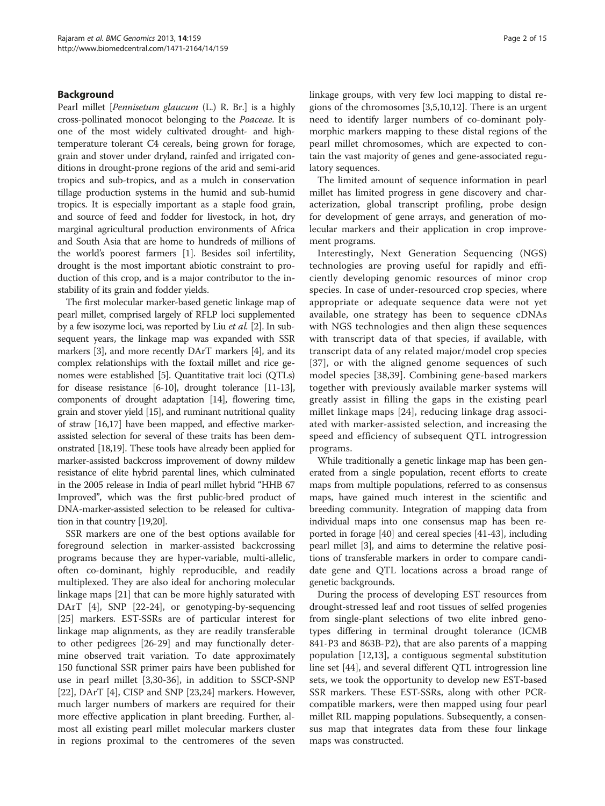### Background

Pearl millet [Pennisetum glaucum (L.) R. Br.] is a highly cross-pollinated monocot belonging to the Poaceae. It is one of the most widely cultivated drought- and hightemperature tolerant C4 cereals, being grown for forage, grain and stover under dryland, rainfed and irrigated conditions in drought-prone regions of the arid and semi-arid tropics and sub-tropics, and as a mulch in conservation tillage production systems in the humid and sub-humid tropics. It is especially important as a staple food grain, and source of feed and fodder for livestock, in hot, dry marginal agricultural production environments of Africa and South Asia that are home to hundreds of millions of the world's poorest farmers [[1](#page-13-0)]. Besides soil infertility, drought is the most important abiotic constraint to production of this crop, and is a major contributor to the instability of its grain and fodder yields.

The first molecular marker-based genetic linkage map of pearl millet, comprised largely of RFLP loci supplemented by a few isozyme loci, was reported by Liu *et al.* [\[2\]](#page-13-0). In subsequent years, the linkage map was expanded with SSR markers [\[3\]](#page-13-0), and more recently DArT markers [\[4\]](#page-13-0), and its complex relationships with the foxtail millet and rice genomes were established [[5](#page-13-0)]. Quantitative trait loci (QTLs) for disease resistance [\[6](#page-13-0)-[10\]](#page-13-0), drought tolerance [\[11-13](#page-13-0)], components of drought adaptation [\[14\]](#page-13-0), flowering time, grain and stover yield [\[15\]](#page-13-0), and ruminant nutritional quality of straw [\[16,17\]](#page-13-0) have been mapped, and effective markerassisted selection for several of these traits has been demonstrated [\[18,19\]](#page-13-0). These tools have already been applied for marker-assisted backcross improvement of downy mildew resistance of elite hybrid parental lines, which culminated in the 2005 release in India of pearl millet hybrid "HHB 67 Improved", which was the first public-bred product of DNA-marker-assisted selection to be released for cultivation in that country [[19,20\]](#page-13-0).

SSR markers are one of the best options available for foreground selection in marker-assisted backcrossing programs because they are hyper-variable, multi-allelic, often co-dominant, highly reproducible, and readily multiplexed. They are also ideal for anchoring molecular linkage maps [\[21\]](#page-13-0) that can be more highly saturated with DArT [\[4](#page-13-0)], SNP [[22-24\]](#page-14-0), or genotyping-by-sequencing [[25\]](#page-14-0) markers. EST-SSRs are of particular interest for linkage map alignments, as they are readily transferable to other pedigrees [[26-29\]](#page-14-0) and may functionally determine observed trait variation. To date approximately 150 functional SSR primer pairs have been published for use in pearl millet [\[3](#page-13-0)[,30](#page-14-0)-[36\]](#page-14-0), in addition to SSCP-SNP [[22\]](#page-14-0), DArT [\[4](#page-13-0)], CISP and SNP [[23](#page-14-0),[24](#page-14-0)] markers. However, much larger numbers of markers are required for their more effective application in plant breeding. Further, almost all existing pearl millet molecular markers cluster in regions proximal to the centromeres of the seven linkage groups, with very few loci mapping to distal regions of the chromosomes [[3,5,10,12\]](#page-13-0). There is an urgent need to identify larger numbers of co-dominant polymorphic markers mapping to these distal regions of the pearl millet chromosomes, which are expected to contain the vast majority of genes and gene-associated regulatory sequences.

The limited amount of sequence information in pearl millet has limited progress in gene discovery and characterization, global transcript profiling, probe design for development of gene arrays, and generation of molecular markers and their application in crop improvement programs.

Interestingly, Next Generation Sequencing (NGS) technologies are proving useful for rapidly and efficiently developing genomic resources of minor crop species. In case of under-resourced crop species, where appropriate or adequate sequence data were not yet available, one strategy has been to sequence cDNAs with NGS technologies and then align these sequences with transcript data of that species, if available, with transcript data of any related major/model crop species [[37](#page-14-0)], or with the aligned genome sequences of such model species [\[38](#page-14-0),[39\]](#page-14-0). Combining gene-based markers together with previously available marker systems will greatly assist in filling the gaps in the existing pearl millet linkage maps [[24](#page-14-0)], reducing linkage drag associated with marker-assisted selection, and increasing the speed and efficiency of subsequent QTL introgression programs.

While traditionally a genetic linkage map has been generated from a single population, recent efforts to create maps from multiple populations, referred to as consensus maps, have gained much interest in the scientific and breeding community. Integration of mapping data from individual maps into one consensus map has been reported in forage [[40](#page-14-0)] and cereal species [\[41-43\]](#page-14-0), including pearl millet [\[3](#page-13-0)], and aims to determine the relative positions of transferable markers in order to compare candidate gene and QTL locations across a broad range of genetic backgrounds.

During the process of developing EST resources from drought-stressed leaf and root tissues of selfed progenies from single-plant selections of two elite inbred genotypes differing in terminal drought tolerance (ICMB 841-P3 and 863B-P2), that are also parents of a mapping population [\[12,13\]](#page-13-0), a contiguous segmental substitution line set [\[44\]](#page-14-0), and several different QTL introgression line sets, we took the opportunity to develop new EST-based SSR markers. These EST-SSRs, along with other PCRcompatible markers, were then mapped using four pearl millet RIL mapping populations. Subsequently, a consensus map that integrates data from these four linkage maps was constructed.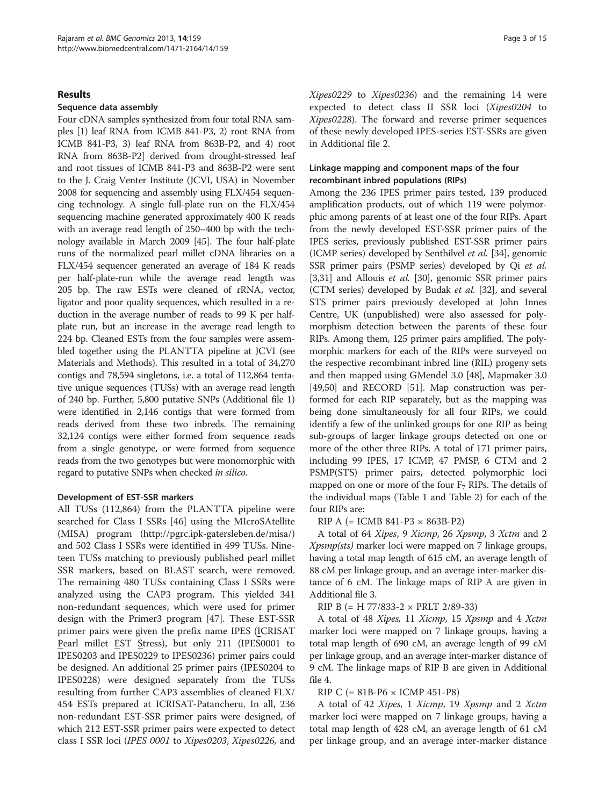### Results

#### Sequence data assembly

Four cDNA samples synthesized from four total RNA samples [1) leaf RNA from ICMB 841-P3, 2) root RNA from ICMB 841-P3, 3) leaf RNA from 863B-P2, and 4) root RNA from 863B-P2] derived from drought-stressed leaf and root tissues of ICMB 841-P3 and 863B-P2 were sent to the J. Craig Venter Institute (JCVI, USA) in November 2008 for sequencing and assembly using FLX/454 sequencing technology. A single full-plate run on the FLX/454 sequencing machine generated approximately 400 K reads with an average read length of 250–400 bp with the technology available in March 2009 [[45](#page-14-0)]. The four half-plate runs of the normalized pearl millet cDNA libraries on a FLX/454 sequencer generated an average of 184 K reads per half-plate-run while the average read length was 205 bp. The raw ESTs were cleaned of rRNA, vector, ligator and poor quality sequences, which resulted in a reduction in the average number of reads to 99 K per halfplate run, but an increase in the average read length to 224 bp. Cleaned ESTs from the four samples were assembled together using the PLANTTA pipeline at JCVI (see [Materials and Methods\)](#page-9-0). This resulted in a total of 34,270 contigs and 78,594 singletons, i.e. a total of 112,864 tentative unique sequences (TUSs) with an average read length of 240 bp. Further, 5,800 putative SNPs (Additional file [1](#page-12-0)) were identified in 2,146 contigs that were formed from reads derived from these two inbreds. The remaining 32,124 contigs were either formed from sequence reads from a single genotype, or were formed from sequence reads from the two genotypes but were monomorphic with regard to putative SNPs when checked in silico.

#### Development of EST-SSR markers

All TUSs (112,864) from the PLANTTA pipeline were searched for Class I SSRs [[46\]](#page-14-0) using the MIcroSAtellite (MISA) program [\(http://pgrc.ipk-gatersleben.de/misa/](http://pgrc.ipk-gatersleben.de/misa/)) and 502 Class I SSRs were identified in 499 TUSs. Nineteen TUSs matching to previously published pearl millet SSR markers, based on BLAST search, were removed. The remaining 480 TUSs containing Class I SSRs were analyzed using the CAP3 program. This yielded 341 non-redundant sequences, which were used for primer design with the Primer3 program [\[47](#page-14-0)]. These EST-SSR primer pairs were given the prefix name IPES (ICRISAT Pearl millet EST Stress), but only 211 (IPES0001 to IPES0203 and IPES0229 to IPES0236) primer pairs could be designed. An additional 25 primer pairs (IPES0204 to IPES0228) were designed separately from the TUSs resulting from further CAP3 assemblies of cleaned FLX/ 454 ESTs prepared at ICRISAT-Patancheru. In all, 236 non-redundant EST-SSR primer pairs were designed, of which 212 EST-SSR primer pairs were expected to detect class I SSR loci (IPES 0001 to Xipes0203, Xipes0226, and Xipes0229 to Xipes0236) and the remaining 14 were expected to detect class II SSR loci (Xipes0204 to Xipes0228). The forward and reverse primer sequences of these newly developed IPES-series EST-SSRs are given in Additional file [2.](#page-12-0)

## Linkage mapping and component maps of the four recombinant inbred populations (RIPs)

Among the 236 IPES primer pairs tested, 139 produced amplification products, out of which 119 were polymorphic among parents of at least one of the four RIPs. Apart from the newly developed EST-SSR primer pairs of the IPES series, previously published EST-SSR primer pairs (ICMP series) developed by Senthilvel et al. [[34](#page-14-0)], genomic SSR primer pairs (PSMP series) developed by Qi et al. [[3,](#page-13-0)[31](#page-14-0)] and Allouis et al. [\[30\]](#page-14-0), genomic SSR primer pairs (CTM series) developed by Budak et al. [[32](#page-14-0)], and several STS primer pairs previously developed at John Innes Centre, UK (unpublished) were also assessed for polymorphism detection between the parents of these four RIPs. Among them, 125 primer pairs amplified. The polymorphic markers for each of the RIPs were surveyed on the respective recombinant inbred line (RIL) progeny sets and then mapped using GMendel 3.0 [\[48\]](#page-14-0), Mapmaker 3.0 [[49,50](#page-14-0)] and RECORD [[51](#page-14-0)]. Map construction was performed for each RIP separately, but as the mapping was being done simultaneously for all four RIPs, we could identify a few of the unlinked groups for one RIP as being sub-groups of larger linkage groups detected on one or more of the other three RIPs. A total of 171 primer pairs, including 99 IPES, 17 ICMP, 47 PMSP, 6 CTM and 2 PSMP(STS) primer pairs, detected polymorphic loci mapped on one or more of the four  $F_7$  RIPs. The details of the individual maps (Table [1](#page-4-0) and Table [2](#page-4-0)) for each of the four RIPs are:

## RIP A (= ICMB 841-P3  $\times$  863B-P2)

A total of 64 Xipes, 9 Xicmp, 26 Xpsmp, 3 Xctm and 2 Xpsmp(sts) marker loci were mapped on 7 linkage groups, having a total map length of 615 cM, an average length of 88 cM per linkage group, and an average inter-marker distance of 6 cM. The linkage maps of RIP A are given in Additional file [3](#page-12-0).

RIP B (= H 77/833-2 × PRLT 2/89-33)

A total of 48 Xipes, 11 Xicmp, 15 Xpsmp and 4 Xctm marker loci were mapped on 7 linkage groups, having a total map length of 690 cM, an average length of 99 cM per linkage group, and an average inter-marker distance of 9 cM. The linkage maps of RIP B are given in Additional file [4](#page-12-0).

#### RIP C (= 81B-P6 × ICMP 451-P8)

A total of 42 Xipes, 1 Xicmp, 19 Xpsmp and 2 Xctm marker loci were mapped on 7 linkage groups, having a total map length of 428 cM, an average length of 61 cM per linkage group, and an average inter-marker distance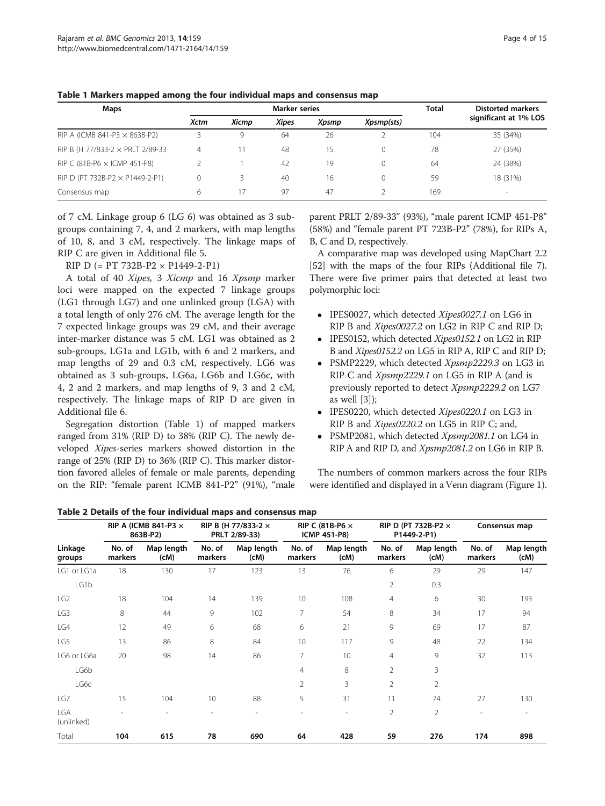| Maps                                 | Marker series |              |              |       |            | <b>Total</b> | <b>Distorted markers</b> |
|--------------------------------------|---------------|--------------|--------------|-------|------------|--------------|--------------------------|
|                                      | <b>Xctm</b>   | Xicmp        | <b>Xipes</b> | Xpsmp | Xpsmp(sts) |              | significant at 1% LOS    |
| RIP A (ICMB 841-P3 $\times$ 863B-P2) |               | 9            | 64           | 26    |            | 104          | 35 (34%)                 |
| RIP B (H 77/833-2 × PRLT 2/89-33     | 4             | $\mathbf{1}$ | 48           | 15    |            | 78           | 27 (35%)                 |
| RIP C (81B-P6 $\times$ ICMP 451-P8)  |               |              | 42           | 19    |            | 64           | 24 (38%)                 |
| RIP D (PT 732B-P2 × P1449-2-P1)      |               |              | 40           | 16    |            | 59           | 18 (31%)                 |
| Consensus map                        | 6             | 17           | 97           | 47    |            | 169          | $\overline{\phantom{a}}$ |

<span id="page-4-0"></span>Table 1 Markers mapped among the four individual maps and consensus map

of 7 cM. Linkage group 6 (LG 6) was obtained as 3 subgroups containing 7, 4, and 2 markers, with map lengths of 10, 8, and 3 cM, respectively. The linkage maps of RIP C are given in Additional file [5](#page-12-0).

RIP D (= PT 732B-P2 × P1449-2-P1)

A total of 40 Xipes, 3 Xicmp and 16 Xpsmp marker loci were mapped on the expected 7 linkage groups (LG1 through LG7) and one unlinked group (LGA) with a total length of only 276 cM. The average length for the 7 expected linkage groups was 29 cM, and their average inter-marker distance was 5 cM. LG1 was obtained as 2 sub-groups, LG1a and LG1b, with 6 and 2 markers, and map lengths of 29 and 0.3 cM, respectively. LG6 was obtained as 3 sub-groups, LG6a, LG6b and LG6c, with 4, 2 and 2 markers, and map lengths of 9, 3 and 2 cM, respectively. The linkage maps of RIP D are given in Additional file [6.](#page-12-0)

Segregation distortion (Table 1) of mapped markers ranged from 31% (RIP D) to 38% (RIP C). The newly developed Xipes-series markers showed distortion in the range of 25% (RIP D) to 36% (RIP C). This marker distortion favored alleles of female or male parents, depending on the RIP: "female parent ICMB 841-P2" (91%), "male parent PRLT 2/89-33" (93%), "male parent ICMP 451-P8" (58%) and "female parent PT 723B-P2" (78%), for RIPs A, B, C and D, respectively.

A comparative map was developed using MapChart 2.2 [[52](#page-14-0)] with the maps of the four RIPs (Additional file [7](#page-12-0)). There were five primer pairs that detected at least two polymorphic loci:

- IPES0027, which detected Xipes0027.1 on LG6 in RIP B and *Xipes0027.2* on LG2 in RIP C and RIP D;
- IPES0152, which detected *Xipes0152.1* on LG2 in RIP B and Xipes0152.2 on LG5 in RIP A, RIP C and RIP D;
- PSMP2229, which detected Xpsmp2229.3 on LG3 in RIP C and Xpsmp2229.1 on LG5 in RIP A (and is previously reported to detect Xpsmp2229.2 on LG7 as well [[3\]](#page-13-0));
- IPES0220, which detected Xipes0220.1 on LG3 in RIP B and Xipes0220.2 on LG5 in RIP C; and,
- PSMP2081, which detected Xpsmp2081.1 on LG4 in RIP A and RIP D, and *Xpsmp2081.2* on LG6 in RIP B.

The numbers of common markers across the four RIPs were identified and displayed in a Venn diagram (Figure [1](#page-5-0)).

Table 2 Details of the four individual maps and consensus map

|                   | RIP A (ICMB 841-P3 $\times$<br>863B-P2) |                    | RIP B (H 77/833-2 ×<br>PRLT 2/89-33) |                          | RIP C (81B-P6 $\times$<br><b>ICMP 451-P8)</b> |                          | RIP D (PT 732B-P2 $\times$<br>P1449-2-P1) |                    | Consensus map            |                    |
|-------------------|-----------------------------------------|--------------------|--------------------------------------|--------------------------|-----------------------------------------------|--------------------------|-------------------------------------------|--------------------|--------------------------|--------------------|
| Linkage<br>groups | No. of<br>markers                       | Map length<br>(cM) | No. of<br>markers                    | Map length<br>(cM)       | No. of<br>markers                             | Map length<br>(cM)       | No. of<br>markers                         | Map length<br>(CM) | No. of<br>markers        | Map length<br>(cM) |
| LG1 or LG1a       | 18                                      | 130                | 17                                   | 123                      | 13                                            | 76                       | 6                                         | 29                 | 29                       | 147                |
| LG1b              |                                         |                    |                                      |                          |                                               |                          | 2                                         | 0.3                |                          |                    |
| LG <sub>2</sub>   | 18                                      | 104                | 14                                   | 139                      | 10                                            | 108                      | 4                                         | 6                  | 30                       | 193                |
| LG3               | 8                                       | 44                 | 9                                    | 102                      | 7                                             | 54                       | 8                                         | 34                 | 17                       | 94                 |
| LG4               | 12                                      | 49                 | 6                                    | 68                       | 6                                             | 21                       | 9                                         | 69                 | 17                       | 87                 |
| LG5               | 13                                      | 86                 | 8                                    | 84                       | 10                                            | 117                      | 9                                         | 48                 | 22                       | 134                |
| LG6 or LG6a       | 20                                      | 98                 | 14                                   | 86                       | 7                                             | 10                       | 4                                         | 9                  | 32                       | 113                |
| LG6b              |                                         |                    |                                      |                          | 4                                             | 8                        | $\overline{2}$                            | 3                  |                          |                    |
| LG6c              |                                         |                    |                                      |                          | $\overline{2}$                                | 3                        | $\overline{2}$                            | 2                  |                          |                    |
| LG7               | 15                                      | 104                | 10                                   | 88                       | 5                                             | 31                       | 11                                        | 74                 | 27                       | 130                |
| LGA<br>(unlinked) |                                         | ۰                  | $\sim$                               | $\overline{\phantom{a}}$ | ٠                                             | $\overline{\phantom{a}}$ | $\overline{2}$                            | 2                  | $\overline{\phantom{a}}$ |                    |
| Total             | 104                                     | 615                | 78                                   | 690                      | 64                                            | 428                      | 59                                        | 276                | 174                      | 898                |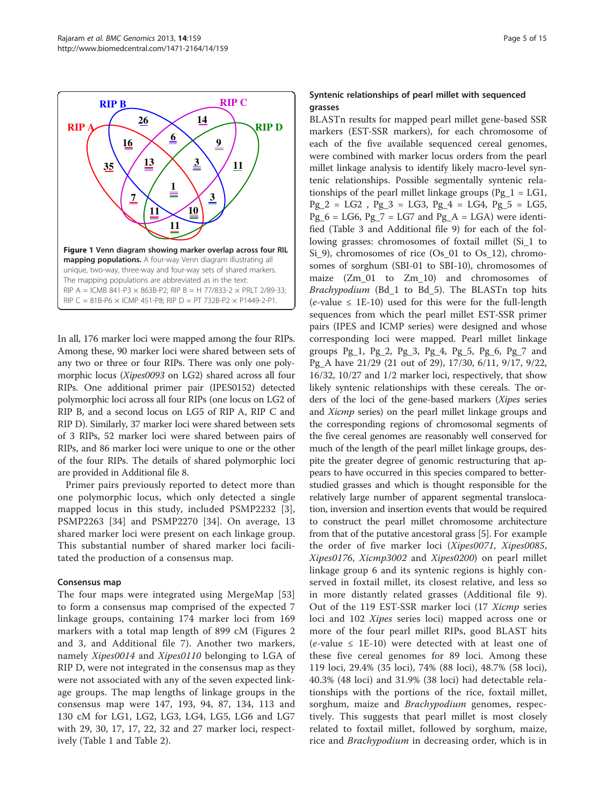<span id="page-5-0"></span>

In all, 176 marker loci were mapped among the four RIPs. Among these, 90 marker loci were shared between sets of any two or three or four RIPs. There was only one polymorphic locus (Xipes0093 on LG2) shared across all four RIPs. One additional primer pair (IPES0152) detected polymorphic loci across all four RIPs (one locus on LG2 of RIP B, and a second locus on LG5 of RIP A, RIP C and RIP D). Similarly, 37 marker loci were shared between sets of 3 RIPs, 52 marker loci were shared between pairs of RIPs, and 86 marker loci were unique to one or the other of the four RIPs. The details of shared polymorphic loci are provided in Additional file [8.](#page-12-0)

Primer pairs previously reported to detect more than one polymorphic locus, which only detected a single mapped locus in this study, included PSMP2232 [\[3](#page-13-0)], PSMP2263 [[34\]](#page-14-0) and PSMP2270 [\[34](#page-14-0)]. On average, 13 shared marker loci were present on each linkage group. This substantial number of shared marker loci facilitated the production of a consensus map.

## Consensus map

The four maps were integrated using MergeMap [\[53](#page-14-0)] to form a consensus map comprised of the expected 7 linkage groups, containing 174 marker loci from 169 markers with a total map length of 899 cM (Figures [2](#page-6-0) and [3](#page-7-0), and Additional file [7\)](#page-12-0). Another two markers, namely Xipes0014 and Xipes0110 belonging to LGA of RIP D, were not integrated in the consensus map as they were not associated with any of the seven expected linkage groups. The map lengths of linkage groups in the consensus map were 147, 193, 94, 87, 134, 113 and 130 cM for LG1, LG2, LG3, LG4, LG5, LG6 and LG7 with 29, 30, 17, 17, 22, 32 and 27 marker loci, respectively (Table [1](#page-4-0) and Table [2\)](#page-4-0).

## Syntenic relationships of pearl millet with sequenced grasses

BLASTn results for mapped pearl millet gene-based SSR markers (EST-SSR markers), for each chromosome of each of the five available sequenced cereal genomes, were combined with marker locus orders from the pearl millet linkage analysis to identify likely macro-level syntenic relationships. Possible segmentally syntenic relationships of the pearl millet linkage groups ( $Pg_1 = LG1$ ,  $Pg_2 = LG2$ ,  $Pg_3 = LG3$ ,  $Pg_4 = LG4$ ,  $Pg_5 = LG5$ ,  $Pg_6 = LG6$ ,  $Pg_7 = LG7$  and  $Pg_A = LGA$ ) were identified (Table [3](#page-8-0) and Additional file [9\)](#page-12-0) for each of the following grasses: chromosomes of foxtail millet (Si\_1 to Si\_9), chromosomes of rice (Os\_01 to Os\_12), chromosomes of sorghum (SBI-01 to SBI-10), chromosomes of maize (Zm\_01 to Zm\_10) and chromosomes of Brachypodium (Bd\_1 to Bd\_5). The BLASTn top hits  $(e$ -value  $\leq$  1E-10) used for this were for the full-length sequences from which the pearl millet EST-SSR primer pairs (IPES and ICMP series) were designed and whose corresponding loci were mapped. Pearl millet linkage groups  $Pg_1$ ,  $Pg_2$ ,  $Pg_3$ ,  $Pg_4$ ,  $Pg_5$ ,  $Pg_6$ ,  $Pg_7$  and Pg\_A have 21/29 (21 out of 29), 17/30, 6/11, 9/17, 9/22, 16/32, 10/27 and 1/2 marker loci, respectively, that show likely syntenic relationships with these cereals. The orders of the loci of the gene-based markers (Xipes series and Xicmp series) on the pearl millet linkage groups and the corresponding regions of chromosomal segments of the five cereal genomes are reasonably well conserved for much of the length of the pearl millet linkage groups, despite the greater degree of genomic restructuring that appears to have occurred in this species compared to betterstudied grasses and which is thought responsible for the relatively large number of apparent segmental translocation, inversion and insertion events that would be required to construct the pearl millet chromosome architecture from that of the putative ancestoral grass [[5\]](#page-13-0). For example the order of five marker loci (Xipes0071, Xipes0085, Xipes0176, Xicmp3002 and Xipes0200) on pearl millet linkage group 6 and its syntenic regions is highly conserved in foxtail millet, its closest relative, and less so in more distantly related grasses (Additional file [9](#page-12-0)). Out of the 119 EST-SSR marker loci (17 Xicmp series loci and 102 Xipes series loci) mapped across one or more of the four pearl millet RIPs, good BLAST hits  $(e$ -value  $\leq$  1E-10) were detected with at least one of these five cereal genomes for 89 loci. Among these 119 loci, 29.4% (35 loci), 74% (88 loci), 48.7% (58 loci), 40.3% (48 loci) and 31.9% (38 loci) had detectable relationships with the portions of the rice, foxtail millet, sorghum, maize and Brachypodium genomes, respectively. This suggests that pearl millet is most closely related to foxtail millet, followed by sorghum, maize, rice and Brachypodium in decreasing order, which is in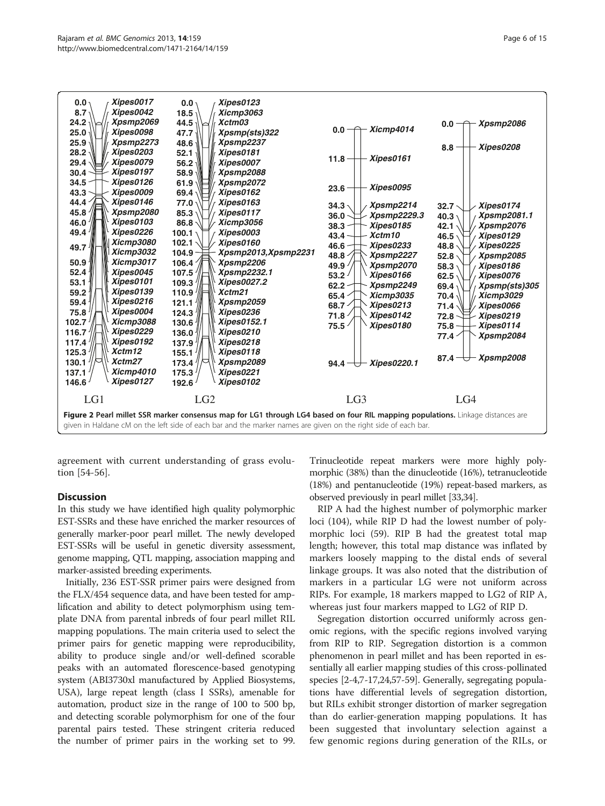<span id="page-6-0"></span>

agreement with current understanding of grass evolution [\[54](#page-14-0)-[56\]](#page-14-0).

#### **Discussion**

In this study we have identified high quality polymorphic EST-SSRs and these have enriched the marker resources of generally marker-poor pearl millet. The newly developed EST-SSRs will be useful in genetic diversity assessment, genome mapping, QTL mapping, association mapping and marker-assisted breeding experiments.

Initially, 236 EST-SSR primer pairs were designed from the FLX/454 sequence data, and have been tested for amplification and ability to detect polymorphism using template DNA from parental inbreds of four pearl millet RIL mapping populations. The main criteria used to select the primer pairs for genetic mapping were reproducibility, ability to produce single and/or well-defined scorable peaks with an automated florescence-based genotyping system (ABI3730xl manufactured by Applied Biosystems, USA), large repeat length (class I SSRs), amenable for automation, product size in the range of 100 to 500 bp, and detecting scorable polymorphism for one of the four parental pairs tested. These stringent criteria reduced the number of primer pairs in the working set to 99. Trinucleotide repeat markers were more highly polymorphic (38%) than the dinucleotide (16%), tetranucleotide (18%) and pentanucleotide (19%) repeat-based markers, as observed previously in pearl millet [[33,34\]](#page-14-0).

RIP A had the highest number of polymorphic marker loci (104), while RIP D had the lowest number of polymorphic loci (59). RIP B had the greatest total map length; however, this total map distance was inflated by markers loosely mapping to the distal ends of several linkage groups. It was also noted that the distribution of markers in a particular LG were not uniform across RIPs. For example, 18 markers mapped to LG2 of RIP A, whereas just four markers mapped to LG2 of RIP D.

Segregation distortion occurred uniformly across genomic regions, with the specific regions involved varying from RIP to RIP. Segregation distortion is a common phenomenon in pearl millet and has been reported in essentially all earlier mapping studies of this cross-pollinated species [[2-4,7-17,](#page-13-0)[24,57](#page-14-0)-[59](#page-14-0)]. Generally, segregating populations have differential levels of segregation distortion, but RILs exhibit stronger distortion of marker segregation than do earlier-generation mapping populations. It has been suggested that involuntary selection against a few genomic regions during generation of the RILs, or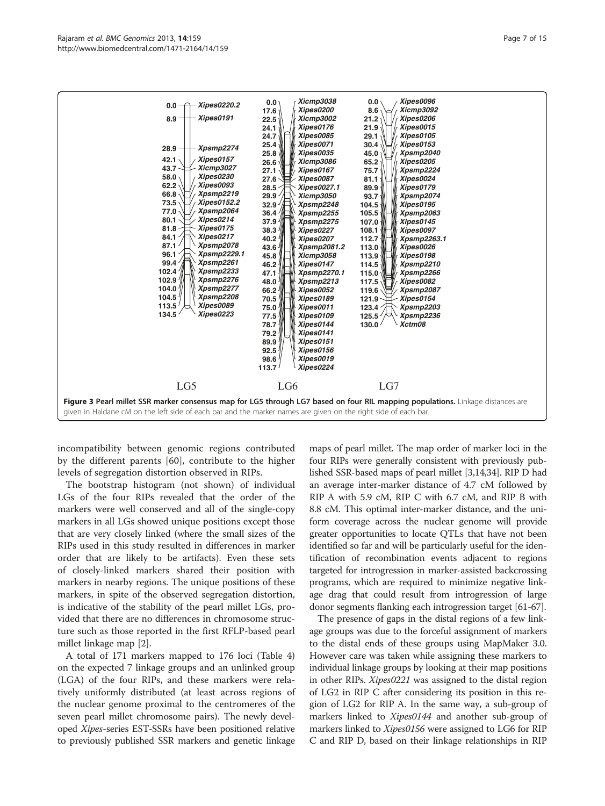<span id="page-7-0"></span>

incompatibility between genomic regions contributed by the different parents [\[60](#page-14-0)], contribute to the higher levels of segregation distortion observed in RIPs.

The bootstrap histogram (not shown) of individual LGs of the four RIPs revealed that the order of the markers were well conserved and all of the single-copy markers in all LGs showed unique positions except those that are very closely linked (where the small sizes of the RIPs used in this study resulted in differences in marker order that are likely to be artifacts). Even these sets of closely-linked markers shared their position with markers in nearby regions. The unique positions of these markers, in spite of the observed segregation distortion, is indicative of the stability of the pearl millet LGs, provided that there are no differences in chromosome structure such as those reported in the first RFLP-based pearl millet linkage map [[2\]](#page-13-0).

A total of 171 markers mapped to 176 loci (Table [4](#page-9-0)) on the expected 7 linkage groups and an unlinked group (LGA) of the four RIPs, and these markers were relatively uniformly distributed (at least across regions of the nuclear genome proximal to the centromeres of the seven pearl millet chromosome pairs). The newly developed Xipes-series EST-SSRs have been positioned relative to previously published SSR markers and genetic linkage maps of pearl millet. The map order of marker loci in the four RIPs were generally consistent with previously published SSR-based maps of pearl millet [[3,14](#page-13-0)[,34\]](#page-14-0). RIP D had an average inter-marker distance of 4.7 cM followed by RIP A with 5.9 cM, RIP C with 6.7 cM, and RIP B with 8.8 cM. This optimal inter-marker distance, and the uniform coverage across the nuclear genome will provide greater opportunities to locate QTLs that have not been identified so far and will be particularly useful for the identification of recombination events adjacent to regions targeted for introgression in marker-assisted backcrossing programs, which are required to minimize negative linkage drag that could result from introgression of large donor segments flanking each introgression target [\[61-](#page-14-0)[67\]](#page-15-0).

The presence of gaps in the distal regions of a few linkage groups was due to the forceful assignment of markers to the distal ends of these groups using MapMaker 3.0. However care was taken while assigning these markers to individual linkage groups by looking at their map positions in other RIPs. Xipes0221 was assigned to the distal region of LG2 in RIP C after considering its position in this region of LG2 for RIP A. In the same way, a sub-group of markers linked to *Xipes0144* and another sub-group of markers linked to *Xipes0156* were assigned to LG6 for RIP C and RIP D, based on their linkage relationships in RIP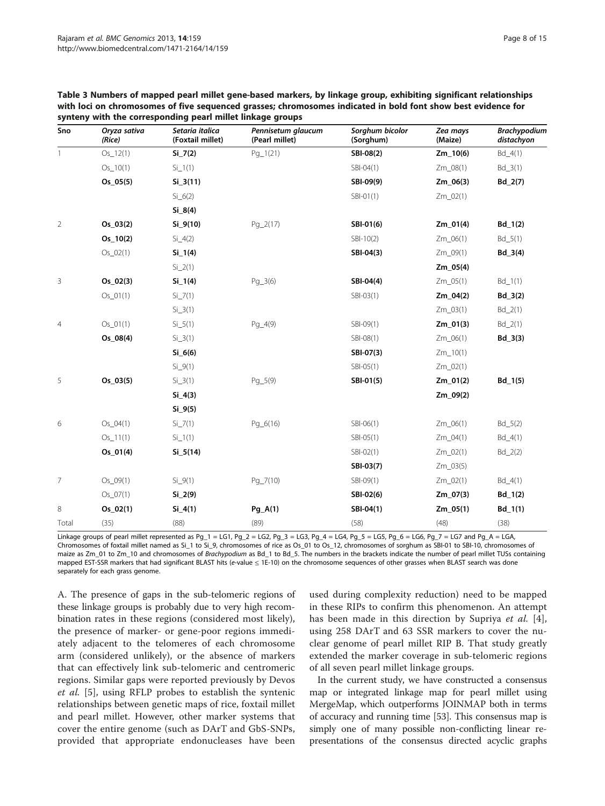| Sno            | Oryza sativa<br>(Rice) | Setaria italica<br>(Foxtail millet) | Pennisetum glaucum<br>(Pearl millet) | Sorghum bicolor<br>(Sorghum) | Zea mays<br>(Maize) | Brachypodium<br>distachyon |
|----------------|------------------------|-------------------------------------|--------------------------------------|------------------------------|---------------------|----------------------------|
| $\mathbf{1}$   | $Os_12(1)$             | $Si_7(2)$                           | $Pq_1(21)$                           | SBI-08(2)                    | $Zm_10(6)$          | $Bd_4(1)$                  |
|                | $Os_10(1)$             | $Si_1(1)$                           |                                      | SBI-04(1)                    | Zm_08(1)            | $Bd_3(1)$                  |
|                | $Os_05(5)$             | $Si_3(11)$                          |                                      | SBI-09(9)                    | Zm_06(3)            | $Bd_2(7)$                  |
|                |                        | $Si_6(2)$                           |                                      | SBI-01(1)                    | Zm_02(1)            |                            |
|                |                        | $Si_8(4)$                           |                                      |                              |                     |                            |
| $\overline{2}$ | $Os_03(2)$             | $Si_9(10)$                          | $Pg_2(17)$                           | SBI-01(6)                    | $Zm_01(4)$          | $Bd_1(2)$                  |
|                | $Os_10(2)$             | $Si_4(2)$                           |                                      | $SBI-10(2)$                  | Zm_06(1)            | $Bd_5(1)$                  |
|                | $Os_02(1)$             | $Si_{1}(4)$                         |                                      | SBI-04(3)                    | Zm_09(1)            | $Bd_3(4)$                  |
|                |                        | $Si_2(1)$                           |                                      |                              | Zm_05(4)            |                            |
| 3              | $Os_02(3)$             | $Si_{1}(4)$                         | $Pq_3(6)$                            | SBI-04(4)                    | Zm_05(1)            | $Bd_1(1)$                  |
|                | $Os_01(1)$             | $Si_7(1)$                           |                                      | $SBI-03(1)$                  | Zm_04(2)            | $Bd_3(2)$                  |
|                |                        | $Si_3(1)$                           |                                      |                              | Zm_03(1)            | $Bd_2(1)$                  |
| $\overline{4}$ | $Os_01(1)$             | $Si_5(1)$                           | $Pg_4(9)$                            | SBI-09(1)                    | Zm_01(3)            | $Bd_2(1)$                  |
|                | $Os_08(4)$             | $Si_3(1)$                           |                                      | SBI-08(1)                    | Zm_06(1)            | $Bd_3(3)$                  |
|                |                        | $Si_6(6)$                           |                                      | SBI-07(3)                    | $Zm_10(1)$          |                            |
|                |                        | $Si_9(1)$                           |                                      | SBI-05(1)                    | Zm_02(1)            |                            |
| 5              | $Os_03(5)$             | $Si_3(1)$                           | $Pq_{5}(9)$                          | SBI-01(5)                    | Zm_01(2)            | $Bd_1(5)$                  |
|                |                        | $Si_4(3)$                           |                                      |                              | Zm_09(2)            |                            |
|                |                        | $Si_9(5)$                           |                                      |                              |                     |                            |
| 6              | $Os_04(1)$             | $Si_7(1)$                           | $Pq_6(16)$                           | $SBI-06(1)$                  | Zm_06(1)            | $Bd_5(2)$                  |
|                | $Os_11(1)$             | $Si_1(1)$                           |                                      | SBI-05(1)                    | Zm_04(1)            | $Bd_4(1)$                  |
|                | $Os_01(4)$             | $Si_5(14)$                          |                                      | $SBI-02(1)$                  | Zm_02(1)            | $Bd_2(2)$                  |
|                |                        |                                     |                                      | SBI-03(7)                    | Zm_03(5)            |                            |
| 7              | $Os_09(1)$             | $Si_9(1)$                           | Pg_7(10)                             | SBI-09(1)                    | Zm_02(1)            | $Bd_4(1)$                  |
|                | $Os_07(1)$             | $Si_2(9)$                           |                                      | SBI-02(6)                    | Zm_07(3)            | $Bd_1(2)$                  |
| 8              | $Os_02(1)$             | $Si_4(1)$                           | $Pg_A(1)$                            | SBI-04(1)                    | $Zm_05(1)$          | $Bd_1(1)$                  |
| Total          | (35)                   | (88)                                | (89)                                 | (58)                         | (48)                | (38)                       |

<span id="page-8-0"></span>

| Table 3 Numbers of mapped pearl millet gene-based markers, by linkage group, exhibiting significant relationships |
|-------------------------------------------------------------------------------------------------------------------|
| with loci on chromosomes of five sequenced grasses; chromosomes indicated in bold font show best evidence for     |
| synteny with the corresponding pearl millet linkage groups                                                        |

Linkage groups of pearl millet represented as Pg\_1 = LG1, Pg\_2 = LG2, Pg\_3 = LG3, Pg\_4 = LG4, Pg\_5 = LG5, Pg\_6 = LG6, Pg\_7 = LG7 and Pg\_A = LGA, Chromosomes of foxtail millet named as Si\_1 to Si\_9, chromosomes of rice as Os\_01 to Os\_12, chromosomes of sorghum as SBI-01 to SBI-10, chromosomes of maize as Zm\_01 to Zm\_10 and chromosomes of Brachypodium as Bd\_1 to Bd\_5. The numbers in the brackets indicate the number of pearl millet TUSs containing mapped EST-SSR markers that had significant BLAST hits (e-value ≤ 1E-10) on the chromosome sequences of other grasses when BLAST search was done separately for each grass genome.

A. The presence of gaps in the sub-telomeric regions of these linkage groups is probably due to very high recombination rates in these regions (considered most likely), the presence of marker- or gene-poor regions immediately adjacent to the telomeres of each chromosome arm (considered unlikely), or the absence of markers that can effectively link sub-telomeric and centromeric regions. Similar gaps were reported previously by Devos et al. [\[5](#page-13-0)], using RFLP probes to establish the syntenic relationships between genetic maps of rice, foxtail millet and pearl millet. However, other marker systems that cover the entire genome (such as DArT and GbS-SNPs, provided that appropriate endonucleases have been

used during complexity reduction) need to be mapped in these RIPs to confirm this phenomenon. An attempt has been made in this direction by Supriya *et al.* [\[4](#page-13-0)], using 258 DArT and 63 SSR markers to cover the nuclear genome of pearl millet RIP B. That study greatly extended the marker coverage in sub-telomeric regions of all seven pearl millet linkage groups.

In the current study, we have constructed a consensus map or integrated linkage map for pearl millet using MergeMap, which outperforms JOINMAP both in terms of accuracy and running time [[53](#page-14-0)]. This consensus map is simply one of many possible non-conflicting linear representations of the consensus directed acyclic graphs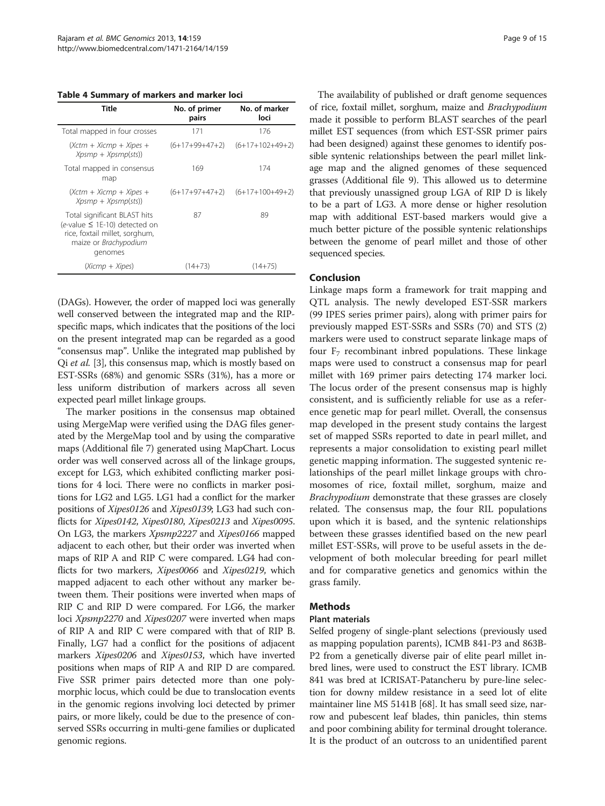<span id="page-9-0"></span>Table 4 Summary of markers and marker loci

| Title                                                                                                                                       | No. of primer<br>pairs | No. of marker<br>loci |
|---------------------------------------------------------------------------------------------------------------------------------------------|------------------------|-----------------------|
| Total mapped in four crosses                                                                                                                | 171                    | 176                   |
| (Xctm + Xicmp + Xipes +<br>$Xpsmp + Xpsmp(sts)$                                                                                             | (6+17+99+47+2)         | $(6+17+102+49+2)$     |
| Total mapped in consensus<br>map                                                                                                            | 169                    | 174                   |
| (Xctm + Xicmp + Xipes +<br>$Xpsmp + Xpsmp(sts)$                                                                                             | (6+17+97+47+2)         | $(6+17+100+49+2)$     |
| Total significant BLAST hits<br>$(e$ -value $\leq$ 1E-10) detected on<br>rice, foxtail millet, sorghum,<br>maize or Brachypodium<br>genomes | 87                     | 89                    |
| (Xicmp + Xipes)                                                                                                                             | $(14+73)$              | $(14+75)$             |

(DAGs). However, the order of mapped loci was generally well conserved between the integrated map and the RIPspecific maps, which indicates that the positions of the loci on the present integrated map can be regarded as a good "consensus map". Unlike the integrated map published by Qi et al. [[3\]](#page-13-0), this consensus map, which is mostly based on EST-SSRs (68%) and genomic SSRs (31%), has a more or less uniform distribution of markers across all seven expected pearl millet linkage groups.

The marker positions in the consensus map obtained using MergeMap were verified using the DAG files generated by the MergeMap tool and by using the comparative maps (Additional file [7\)](#page-12-0) generated using MapChart. Locus order was well conserved across all of the linkage groups, except for LG3, which exhibited conflicting marker positions for 4 loci. There were no conflicts in marker positions for LG2 and LG5. LG1 had a conflict for the marker positions of Xipes0126 and Xipes0139; LG3 had such conflicts for Xipes0142, Xipes0180, Xipes0213 and Xipes0095. On LG3, the markers Xpsmp2227 and Xipes0166 mapped adjacent to each other, but their order was inverted when maps of RIP A and RIP C were compared. LG4 had conflicts for two markers, Xipes0066 and Xipes0219, which mapped adjacent to each other without any marker between them. Their positions were inverted when maps of RIP C and RIP D were compared. For LG6, the marker loci Xpsmp2270 and Xipes0207 were inverted when maps of RIP A and RIP C were compared with that of RIP B. Finally, LG7 had a conflict for the positions of adjacent markers Xipes0206 and Xipes0153, which have inverted positions when maps of RIP A and RIP D are compared. Five SSR primer pairs detected more than one polymorphic locus, which could be due to translocation events in the genomic regions involving loci detected by primer pairs, or more likely, could be due to the presence of conserved SSRs occurring in multi-gene families or duplicated genomic regions.

The availability of published or draft genome sequences of rice, foxtail millet, sorghum, maize and Brachypodium made it possible to perform BLAST searches of the pearl millet EST sequences (from which EST-SSR primer pairs had been designed) against these genomes to identify possible syntenic relationships between the pearl millet linkage map and the aligned genomes of these sequenced grasses (Additional file [9](#page-12-0)). This allowed us to determine that previously unassigned group LGA of RIP D is likely to be a part of LG3. A more dense or higher resolution map with additional EST-based markers would give a much better picture of the possible syntenic relationships between the genome of pearl millet and those of other sequenced species.

## Conclusion

Linkage maps form a framework for trait mapping and QTL analysis. The newly developed EST-SSR markers (99 IPES series primer pairs), along with primer pairs for previously mapped EST-SSRs and SSRs (70) and STS (2) markers were used to construct separate linkage maps of four  $F<sub>7</sub>$  recombinant inbred populations. These linkage maps were used to construct a consensus map for pearl millet with 169 primer pairs detecting 174 marker loci. The locus order of the present consensus map is highly consistent, and is sufficiently reliable for use as a reference genetic map for pearl millet. Overall, the consensus map developed in the present study contains the largest set of mapped SSRs reported to date in pearl millet, and represents a major consolidation to existing pearl millet genetic mapping information. The suggested syntenic relationships of the pearl millet linkage groups with chromosomes of rice, foxtail millet, sorghum, maize and Brachypodium demonstrate that these grasses are closely related. The consensus map, the four RIL populations upon which it is based, and the syntenic relationships between these grasses identified based on the new pearl millet EST-SSRs, will prove to be useful assets in the development of both molecular breeding for pearl millet and for comparative genetics and genomics within the grass family.

## Methods

#### Plant materials

Selfed progeny of single-plant selections (previously used as mapping population parents), ICMB 841-P3 and 863B-P2 from a genetically diverse pair of elite pearl millet inbred lines, were used to construct the EST library. ICMB 841 was bred at ICRISAT-Patancheru by pure-line selection for downy mildew resistance in a seed lot of elite maintainer line MS 5141B [[68](#page-15-0)]. It has small seed size, narrow and pubescent leaf blades, thin panicles, thin stems and poor combining ability for terminal drought tolerance. It is the product of an outcross to an unidentified parent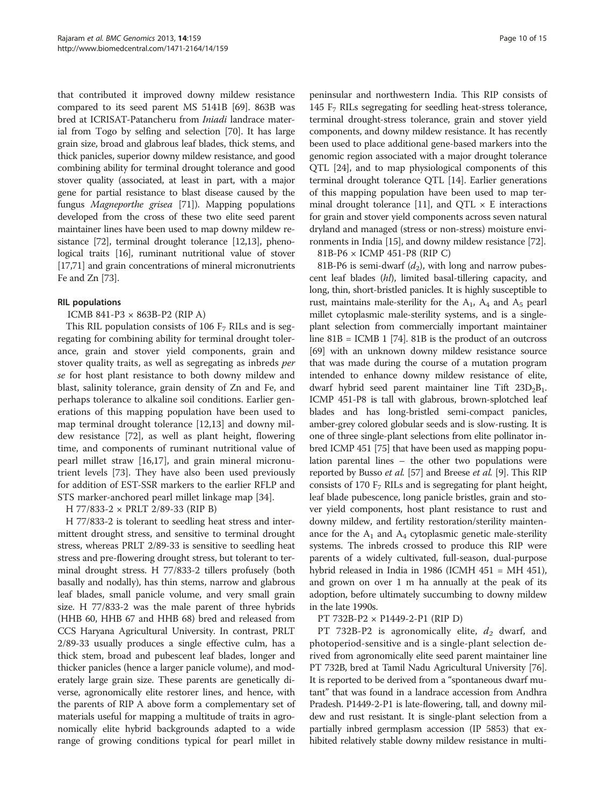that contributed it improved downy mildew resistance compared to its seed parent MS 5141B [\[69](#page-15-0)]. 863B was bred at ICRISAT-Patancheru from Iniadi landrace material from Togo by selfing and selection [\[70](#page-15-0)]. It has large grain size, broad and glabrous leaf blades, thick stems, and thick panicles, superior downy mildew resistance, and good combining ability for terminal drought tolerance and good stover quality (associated, at least in part, with a major gene for partial resistance to blast disease caused by the fungus Magneporthe grisea [\[71](#page-15-0)]). Mapping populations developed from the cross of these two elite seed parent maintainer lines have been used to map downy mildew resistance [\[72](#page-15-0)], terminal drought tolerance [[12,13\]](#page-13-0), phenological traits [\[16\]](#page-13-0), ruminant nutritional value of stover [[17](#page-13-0)[,71\]](#page-15-0) and grain concentrations of mineral micronutrients Fe and Zn [[73](#page-15-0)].

#### RIL populations

ICMB 841-P3 × 863B-P2 (RIP A)

This RIL population consists of 106  $F<sub>7</sub>$  RILs and is segregating for combining ability for terminal drought tolerance, grain and stover yield components, grain and stover quality traits, as well as segregating as inbreds per se for host plant resistance to both downy mildew and blast, salinity tolerance, grain density of Zn and Fe, and perhaps tolerance to alkaline soil conditions. Earlier generations of this mapping population have been used to map terminal drought tolerance [\[12,13\]](#page-13-0) and downy mildew resistance [\[72\]](#page-15-0), as well as plant height, flowering time, and components of ruminant nutritional value of pearl millet straw [[16,17](#page-13-0)], and grain mineral micronutrient levels [[73](#page-15-0)]. They have also been used previously for addition of EST-SSR markers to the earlier RFLP and STS marker-anchored pearl millet linkage map [\[34\]](#page-14-0).

H 77/833-2 × PRLT 2/89-33 (RIP B)

H 77/833-2 is tolerant to seedling heat stress and intermittent drought stress, and sensitive to terminal drought stress, whereas PRLT 2/89-33 is sensitive to seedling heat stress and pre-flowering drought stress, but tolerant to terminal drought stress. H 77/833-2 tillers profusely (both basally and nodally), has thin stems, narrow and glabrous leaf blades, small panicle volume, and very small grain size. H 77/833-2 was the male parent of three hybrids (HHB 60, HHB 67 and HHB 68) bred and released from CCS Haryana Agricultural University. In contrast, PRLT 2/89-33 usually produces a single effective culm, has a thick stem, broad and pubescent leaf blades, longer and thicker panicles (hence a larger panicle volume), and moderately large grain size. These parents are genetically diverse, agronomically elite restorer lines, and hence, with the parents of RIP A above form a complementary set of materials useful for mapping a multitude of traits in agronomically elite hybrid backgrounds adapted to a wide range of growing conditions typical for pearl millet in

peninsular and northwestern India. This RIP consists of 145 F7 RILs segregating for seedling heat-stress tolerance, terminal drought-stress tolerance, grain and stover yield components, and downy mildew resistance. It has recently been used to place additional gene-based markers into the genomic region associated with a major drought tolerance QTL [\[24](#page-14-0)], and to map physiological components of this terminal drought tolerance QTL [\[14\]](#page-13-0). Earlier generations of this mapping population have been used to map ter-minal drought tolerance [\[11\]](#page-13-0), and QTL  $\times$  E interactions for grain and stover yield components across seven natural dryland and managed (stress or non-stress) moisture environments in India [\[15\]](#page-13-0), and downy mildew resistance [[72](#page-15-0)].

81B-P6 × ICMP 451-P8 (RIP C)

81B-P6 is semi-dwarf  $(d_2)$ , with long and narrow pubescent leaf blades (hl), limited basal-tillering capacity, and long, thin, short-bristled panicles. It is highly susceptible to rust, maintains male-sterility for the  $A_1$ ,  $A_4$  and  $A_5$  pearl millet cytoplasmic male-sterility systems, and is a singleplant selection from commercially important maintainer line  $81B = ICMB 1$  [\[74\]](#page-15-0).  $81B$  is the product of an outcross [[69](#page-15-0)] with an unknown downy mildew resistance source that was made during the course of a mutation program intended to enhance downy mildew resistance of elite, dwarf hybrid seed parent maintainer line Tift  $23D_2B_1$ . ICMP 451-P8 is tall with glabrous, brown-splotched leaf blades and has long-bristled semi-compact panicles, amber-grey colored globular seeds and is slow-rusting. It is one of three single-plant selections from elite pollinator inbred ICMP 451 [\[75\]](#page-15-0) that have been used as mapping population parental lines – the other two populations were reported by Busso et al. [\[57\]](#page-14-0) and Breese et al. [[9\]](#page-13-0). This RIP consists of 170  $F<sub>7</sub>$  RILs and is segregating for plant height, leaf blade pubescence, long panicle bristles, grain and stover yield components, host plant resistance to rust and downy mildew, and fertility restoration/sterility maintenance for the  $A_1$  and  $A_4$  cytoplasmic genetic male-sterility systems. The inbreds crossed to produce this RIP were parents of a widely cultivated, full-season, dual-purpose hybrid released in India in 1986 (ICMH 451 = MH 451), and grown on over 1 m ha annually at the peak of its adoption, before ultimately succumbing to downy mildew in the late 1990s.

PT 732B-P2 × P1449-2-P1 (RIP D)

PT 732B-P2 is agronomically elite,  $d_2$  dwarf, and photoperiod-sensitive and is a single-plant selection derived from agronomically elite seed parent maintainer line PT 732B, bred at Tamil Nadu Agricultural University [[76](#page-15-0)]. It is reported to be derived from a "spontaneous dwarf mutant" that was found in a landrace accession from Andhra Pradesh. P1449-2-P1 is late-flowering, tall, and downy mildew and rust resistant. It is single-plant selection from a partially inbred germplasm accession (IP 5853) that exhibited relatively stable downy mildew resistance in multi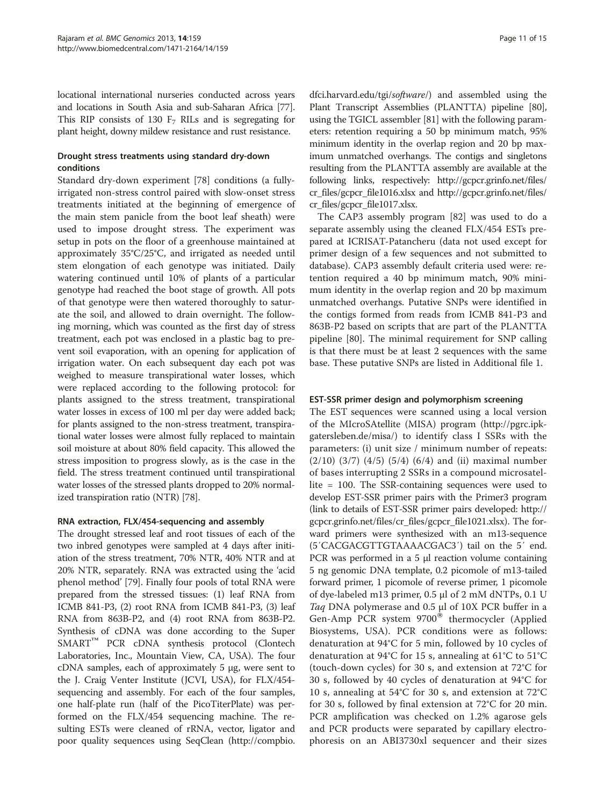locational international nurseries conducted across years and locations in South Asia and sub-Saharan Africa [[77](#page-15-0)]. This RIP consists of 130  $F<sub>7</sub>$  RILs and is segregating for plant height, downy mildew resistance and rust resistance.

### Drought stress treatments using standard dry-down conditions

Standard dry-down experiment [[78\]](#page-15-0) conditions (a fullyirrigated non-stress control paired with slow-onset stress treatments initiated at the beginning of emergence of the main stem panicle from the boot leaf sheath) were used to impose drought stress. The experiment was setup in pots on the floor of a greenhouse maintained at approximately 35°C/25°C, and irrigated as needed until stem elongation of each genotype was initiated. Daily watering continued until 10% of plants of a particular genotype had reached the boot stage of growth. All pots of that genotype were then watered thoroughly to saturate the soil, and allowed to drain overnight. The following morning, which was counted as the first day of stress treatment, each pot was enclosed in a plastic bag to prevent soil evaporation, with an opening for application of irrigation water. On each subsequent day each pot was weighed to measure transpirational water losses, which were replaced according to the following protocol: for plants assigned to the stress treatment, transpirational water losses in excess of 100 ml per day were added back; for plants assigned to the non-stress treatment, transpirational water losses were almost fully replaced to maintain soil moisture at about 80% field capacity. This allowed the stress imposition to progress slowly, as is the case in the field. The stress treatment continued until transpirational water losses of the stressed plants dropped to 20% normalized transpiration ratio (NTR) [\[78\]](#page-15-0).

#### RNA extraction, FLX/454-sequencing and assembly

The drought stressed leaf and root tissues of each of the two inbred genotypes were sampled at 4 days after initiation of the stress treatment, 70% NTR, 40% NTR and at 20% NTR, separately. RNA was extracted using the 'acid phenol method' [[79](#page-15-0)]. Finally four pools of total RNA were prepared from the stressed tissues: (1) leaf RNA from ICMB 841-P3, (2) root RNA from ICMB 841-P3, (3) leaf RNA from 863B-P2, and (4) root RNA from 863B-P2. Synthesis of cDNA was done according to the Super SMART™ PCR cDNA synthesis protocol (Clontech Laboratories, Inc., Mountain View, CA, USA). The four cDNA samples, each of approximately 5 μg, were sent to the J. Craig Venter Institute (JCVI, USA), for FLX/454 sequencing and assembly. For each of the four samples, one half-plate run (half of the PicoTiterPlate) was performed on the FLX/454 sequencing machine. The resulting ESTs were cleaned of rRNA, vector, ligator and poor quality sequences using SeqClean [\(http://compbio.](http://compbio.dfci.harvard.edu/tgi/software/)

[dfci.harvard.edu/tgi/](http://compbio.dfci.harvard.edu/tgi/software/)software/) and assembled using the Plant Transcript Assemblies (PLANTTA) pipeline [[80](#page-15-0)], using the TGICL assembler [[81](#page-15-0)] with the following parameters: retention requiring a 50 bp minimum match, 95% minimum identity in the overlap region and 20 bp maximum unmatched overhangs. The contigs and singletons resulting from the PLANTTA assembly are available at the following links, respectively: [http://gcpcr.grinfo.net/files/](http://gcpcr.grinfo.net/files/cr_files/gcpcr_file1016.xlsx) [cr\\_files/gcpcr\\_file1016.xlsx](http://gcpcr.grinfo.net/files/cr_files/gcpcr_file1016.xlsx) and [http://gcpcr.grinfo.net/files/](http://gcpcr.grinfo.net/files/cr_files/gcpcr_file1017.xlsx) [cr\\_files/gcpcr\\_file1017.xlsx](http://gcpcr.grinfo.net/files/cr_files/gcpcr_file1017.xlsx).

The CAP3 assembly program [\[82\]](#page-15-0) was used to do a separate assembly using the cleaned FLX/454 ESTs prepared at ICRISAT-Patancheru (data not used except for primer design of a few sequences and not submitted to database). CAP3 assembly default criteria used were: retention required a 40 bp minimum match, 90% minimum identity in the overlap region and 20 bp maximum unmatched overhangs. Putative SNPs were identified in the contigs formed from reads from ICMB 841-P3 and 863B-P2 based on scripts that are part of the PLANTTA pipeline [[80\]](#page-15-0). The minimal requirement for SNP calling is that there must be at least 2 sequences with the same base. These putative SNPs are listed in Additional file [1](#page-12-0).

### EST-SSR primer design and polymorphism screening

The EST sequences were scanned using a local version of the MIcroSAtellite (MISA) program [\(http://pgrc.ipk](http://pgrc.ipk-gatersleben.de/misa/)[gatersleben.de/misa/\)](http://pgrc.ipk-gatersleben.de/misa/) to identify class I SSRs with the parameters: (i) unit size / minimum number of repeats: (2/10) (3/7) (4/5) (5/4) (6/4) and (ii) maximal number of bases interrupting 2 SSRs in a compound microsatellite = 100. The SSR-containing sequences were used to develop EST-SSR primer pairs with the Primer3 program (link to details of EST-SSR primer pairs developed: [http://](http://gcpcr.grinfo.net/files/cr_files/gcpcr_file1021.xlsx) [gcpcr.grinfo.net/files/cr\\_files/gcpcr\\_file1021.xlsx\)](http://gcpcr.grinfo.net/files/cr_files/gcpcr_file1021.xlsx). The forward primers were synthesized with an m13-sequence (5′CACGACGTTGTAAAACGAC3′) tail on the 5′ end. PCR was performed in a 5 μl reaction volume containing 5 ng genomic DNA template, 0.2 picomole of m13-tailed forward primer, 1 picomole of reverse primer, 1 picomole of dye-labeled m13 primer, 0.5 μl of 2 mM dNTPs, 0.1 U Taq DNA polymerase and 0.5 μl of 10X PCR buffer in a Gen-Amp PCR system  $9700^{\circ}$  thermocycler (Applied Biosystems, USA). PCR conditions were as follows: denaturation at 94°C for 5 min, followed by 10 cycles of denaturation at 94°C for 15 s, annealing at 61°C to 51°C (touch-down cycles) for 30 s, and extension at 72°C for 30 s, followed by 40 cycles of denaturation at 94°C for 10 s, annealing at 54°C for 30 s, and extension at 72°C for 30 s, followed by final extension at 72°C for 20 min. PCR amplification was checked on 1.2% agarose gels and PCR products were separated by capillary electrophoresis on an ABI3730xl sequencer and their sizes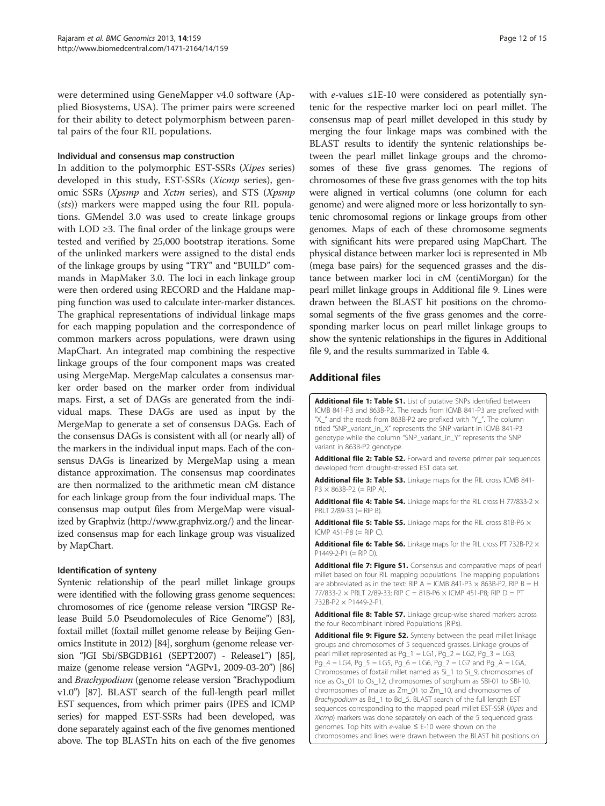<span id="page-12-0"></span>were determined using GeneMapper v4.0 software (Applied Biosystems, USA). The primer pairs were screened for their ability to detect polymorphism between parental pairs of the four RIL populations.

#### Individual and consensus map construction

In addition to the polymorphic EST-SSRs (Xipes series) developed in this study, EST-SSRs (Xicmp series), genomic SSRs (Xpsmp and Xctm series), and STS (Xpsmp (sts)) markers were mapped using the four RIL populations. GMendel 3.0 was used to create linkage groups with LOD  $\geq$ 3. The final order of the linkage groups were tested and verified by 25,000 bootstrap iterations. Some of the unlinked markers were assigned to the distal ends of the linkage groups by using "TRY" and "BUILD" commands in MapMaker 3.0. The loci in each linkage group were then ordered using RECORD and the Haldane mapping function was used to calculate inter-marker distances. The graphical representations of individual linkage maps for each mapping population and the correspondence of common markers across populations, were drawn using MapChart. An integrated map combining the respective linkage groups of the four component maps was created using MergeMap. MergeMap calculates a consensus marker order based on the marker order from individual maps. First, a set of DAGs are generated from the individual maps. These DAGs are used as input by the MergeMap to generate a set of consensus DAGs. Each of the consensus DAGs is consistent with all (or nearly all) of the markers in the individual input maps. Each of the consensus DAGs is linearized by MergeMap using a mean distance approximation. The consensus map coordinates are then normalized to the arithmetic mean cM distance for each linkage group from the four individual maps. The consensus map output files from MergeMap were visualized by Graphviz [\(http://www.graphviz.org/](http://www.graphviz.org/)) and the linearized consensus map for each linkage group was visualized by MapChart.

#### Identification of synteny

Syntenic relationship of the pearl millet linkage groups were identified with the following grass genome sequences: chromosomes of rice (genome release version "IRGSP Release Build 5.0 Pseudomolecules of Rice Genome") [\[83](#page-15-0)], foxtail millet (foxtail millet genome release by Beijing Genomics Institute in 2012) [\[84\]](#page-15-0), sorghum (genome release version "JGI Sbi/SBGDB161 (SEPT2007) - Release1") [\[85](#page-15-0)], maize (genome release version "AGPv1, 2009-03-20") [\[86](#page-15-0)] and Brachypodium (genome release version "Brachypodium v1.0") [[87](#page-15-0)]. BLAST search of the full-length pearl millet EST sequences, from which primer pairs (IPES and ICMP series) for mapped EST-SSRs had been developed, was done separately against each of the five genomes mentioned above. The top BLASTn hits on each of the five genomes with e-values  $\leq 1E-10$  were considered as potentially syntenic for the respective marker loci on pearl millet. The consensus map of pearl millet developed in this study by merging the four linkage maps was combined with the BLAST results to identify the syntenic relationships between the pearl millet linkage groups and the chromosomes of these five grass genomes. The regions of chromosomes of these five grass genomes with the top hits were aligned in vertical columns (one column for each genome) and were aligned more or less horizontally to syntenic chromosomal regions or linkage groups from other genomes. Maps of each of these chromosome segments with significant hits were prepared using MapChart. The physical distance between marker loci is represented in Mb (mega base pairs) for the sequenced grasses and the distance between marker loci in cM (centiMorgan) for the pearl millet linkage groups in Additional file 9. Lines were drawn between the BLAST hit positions on the chromosomal segments of the five grass genomes and the corresponding marker locus on pearl millet linkage groups to show the syntenic relationships in the figures in Additional file 9, and the results summarized in Table [4](#page-9-0).

#### Additional files

[Additional file 1: Table S1.](http://www.biomedcentral.com/content/supplementary/1471-2164-14-159-S1.xlsx) List of putative SNPs identified between ICMB 841-P3 and 863B-P2. The reads from ICMB 841-P3 are prefixed with "X\_" and the reads from 863B-P2 are prefixed with "Y\_". The column titled "SNP\_variant\_in\_X" represents the SNP variant in ICMB 841-P3 genotype while the column "SNP\_variant\_in\_Y" represents the SNP variant in 863B-P2 genotype.

[Additional file 2: Table S2.](http://www.biomedcentral.com/content/supplementary/1471-2164-14-159-S2.xls) Forward and reverse primer pair sequences developed from drought-stressed EST data set.

[Additional file 3: Table S3.](http://www.biomedcentral.com/content/supplementary/1471-2164-14-159-S3.xlsx) Linkage maps for the RIL cross ICMB 841- $P3 \times 863B - P2 (= RIP A).$ 

[Additional file 4: Table S4.](http://www.biomedcentral.com/content/supplementary/1471-2164-14-159-S4.xlsx) Linkage maps for the RIL cross H 77/833-2  $\times$ PRLT 2/89-33 (= RIP B).

[Additional file 5: Table S5.](http://www.biomedcentral.com/content/supplementary/1471-2164-14-159-S5.xlsx) Linkage maps for the RIL cross 81B-P6  $\times$ ICMP 451-P8 (= RIP C).

[Additional file 6: Table S6.](http://www.biomedcentral.com/content/supplementary/1471-2164-14-159-S6.xlsx) Linkage maps for the RIL cross PT 732B-P2  $\times$  $P1449-2-P1 (= RIP D)$ 

[Additional file 7: Figure S1.](http://www.biomedcentral.com/content/supplementary/1471-2164-14-159-S7.pptx) Consensus and comparative maps of pearl millet based on four RIL mapping populations. The mapping populations are abbreviated as in the text: RIP A = ICMB 841-P3  $\times$  863B-P2, RIP B = H 77/833-2  $\times$  PRLT 2/89-33; RIP C = 81B-P6  $\times$  ICMP 451-P8; RIP D = PT 732B-P2 × P1449-2-P1.

[Additional file 8: Table S7.](http://www.biomedcentral.com/content/supplementary/1471-2164-14-159-S8.xlsx) Linkage group-wise shared markers across the four Recombinant Inbred Populations (RIPs).

[Additional file 9: Figure S2.](http://www.biomedcentral.com/content/supplementary/1471-2164-14-159-S9.pptx) Synteny between the pearl millet linkage groups and chromosomes of 5 sequenced grasses. Linkage groups of pearl millet represented as Pg\_1 = LG1, Pg\_2 = LG2, Pg\_3 = LG3, Pg\_4 = LG4, Pg\_5 = LG5, Pg\_6 = LG6, Pg\_7 = LG7 and Pg\_A = LGA, Chromosomes of foxtail millet named as Si\_1 to Si\_9, chromosomes of rice as Os\_01 to Os\_12, chromosomes of sorghum as SBI-01 to SBI-10, chromosomes of maize as Zm\_01 to Zm\_10, and chromosomes of Brachypodium as Bd\_1 to Bd\_5. BLAST search of the full length EST sequences corresponding to the mapped pearl millet EST-SSR (Xipes and Xicmp) markers was done separately on each of the 5 sequenced grass genomes. Top hits with e-value ≤ E-10 were shown on the chromosomes and lines were drawn between the BLAST hit positions on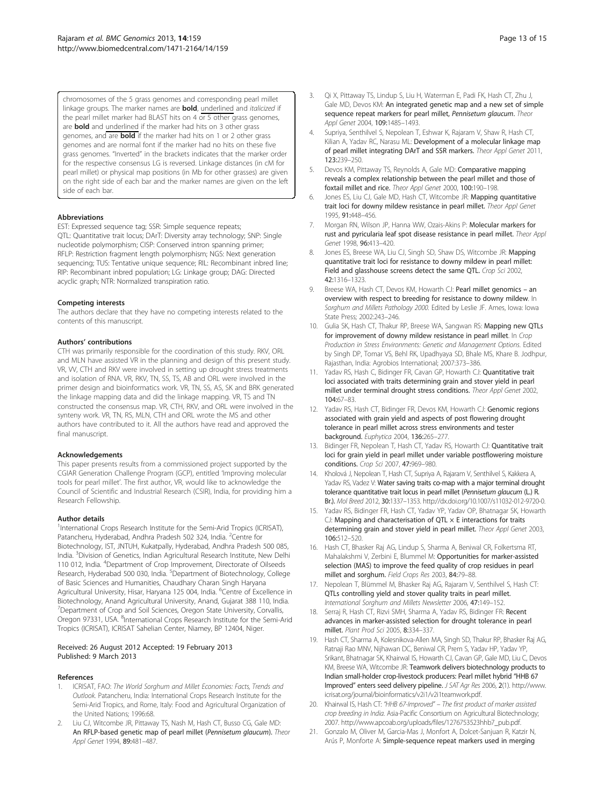<span id="page-13-0"></span>chromosomes of the 5 grass genomes and corresponding pearl millet linkage groups. The marker names are **bold**, underlined and italicized if the pearl millet marker had BLAST hits on 4 or 5 other grass genomes, are **bold** and underlined if the marker had hits on 3 other grass genomes, and are **bold** if the marker had hits on 1 or 2 other grass genomes and are normal font if the marker had no hits on these five grass genomes. "Inverted" in the brackets indicates that the marker order for the respective consensus LG is reversed. Linkage distances (in cM for pearl millet) or physical map positions (in Mb for other grasses) are given on the right side of each bar and the marker names are given on the left side of each bar.

#### Abbreviations

EST: Expressed sequence tag; SSR: Simple sequence repeats; QTL: Quantitative trait locus; DArT: Diversity array technology; SNP: Single nucleotide polymorphism; CISP: Conserved intron spanning primer; RFLP: Restriction fragment length polymorphism; NGS: Next generation sequencing; TUS: Tentative unique sequence; RIL: Recombinant inbred line; RIP: Recombinant inbred population; LG: Linkage group; DAG: Directed acyclic graph; NTR: Normalized transpiration ratio.

#### Competing interests

The authors declare that they have no competing interests related to the contents of this manuscript.

#### Authors' contributions

CTH was primarily responsible for the coordination of this study. RKV, ORL and MLN have assisted VR in the planning and design of this present study. VR, VV, CTH and RKV were involved in setting up drought stress treatments and isolation of RNA. VR, RKV, TN, SS, TS, AB and ORL were involved in the primer design and bioinformatics work. VR, TN, SS, AS, SK and BRK generated the linkage mapping data and did the linkage mapping. VR, TS and TN constructed the consensus map. VR, CTH, RKV, and ORL were involved in the synteny work. VR, TN, RS, MLN, CTH and ORL wrote the MS and other authors have contributed to it. All the authors have read and approved the final manuscript.

#### **Acknowledgements**

This paper presents results from a commissioned project supported by the CGIAR Generation Challenge Program (GCP), entitled 'Improving molecular tools for pearl millet'. The first author, VR, would like to acknowledge the Council of Scientific and Industrial Research (CSIR), India, for providing him a Research Fellowship.

#### Author details

<sup>1</sup>International Crops Research Institute for the Semi-Arid Tropics (ICRISAT), Patancheru, Hyderabad, Andhra Pradesh 502 324, India. <sup>2</sup>Centre for Biotechnology, IST, JNTUH, Kukatpally, Hyderabad, Andhra Pradesh 500 085, India. <sup>3</sup> Division of Genetics, Indian Agricultural Research Institute, New Delhi 110 012, India. <sup>4</sup>Department of Crop Improvement, Directorate of Oilseeds Research, Hyderabad 500 030, India. <sup>5</sup>Department of Biotechnology, College of Basic Sciences and Humanities, Chaudhary Charan Singh Haryana Agricultural University, Hisar, Haryana 125 004, India. <sup>6</sup>Centre of Excellence in Biotechnology, Anand Agricultural University, Anand, Gujarat 388 110, India. 7 Department of Crop and Soil Sciences, Oregon State University, Corvallis, Oregon 97331, USA. <sup>8</sup>International Crops Research Institute for the Semi-Arid Tropics (ICRISAT), ICRISAT Sahelian Center, Niamey, BP 12404, Niger.

#### Received: 26 August 2012 Accepted: 19 February 2013 Published: 9 March 2013

#### References

- ICRISAT, FAO: The World Sorghum and Millet Economies: Facts, Trends and Outlook. Patancheru, India: International Crops Research Institute for the Semi-Arid Tropics, and Rome, Italy: Food and Agricultural Organization of the United Nations; 1996:68.
- 2. Liu CJ, Witcombe JR, Pittaway TS, Nash M, Hash CT, Busso CG, Gale MD: An RFLP-based genetic map of pearl millet (Pennisetum glaucum). Theor Appl Genet 1994, 89:481–487.
- Qi X, Pittaway TS, Lindup S, Liu H, Waterman E, Padi FK, Hash CT, Zhu J, Gale MD, Devos KM: An integrated genetic map and a new set of simple sequence repeat markers for pearl millet, Pennisetum glaucum. Theor Appl Genet 2004, 109:1485–1493.
- 4. Supriya, Senthilvel S, Nepolean T, Eshwar K, Rajaram V, Shaw R, Hash CT, Kilian A, Yadav RC, Narasu ML: Development of a molecular linkage map of pearl millet integrating DArT and SSR markers. Theor Appl Genet 2011, 123:239–250.
- 5. Devos KM, Pittaway TS, Reynolds A, Gale MD: Comparative mapping reveals a complex relationship between the pearl millet and those of foxtail millet and rice. Theor Appl Genet 2000, 100:190–198.
- 6. Jones ES, Liu CJ, Gale MD, Hash CT, Witcombe JR: Mapping quantitative trait loci for downy mildew resistance in pearl millet. Theor Appl Genet 1995, 91:448–456.
- 7. Morgan RN, Wilson JP, Hanna WW, Ozais-Akins P: Molecular markers for rust and pyricularia leaf spot disease resistance in pearl millet. Theor Appl Genet 1998, 96:413–420.
- Jones ES, Breese WA, Liu CJ, Singh SD, Shaw DS, Witcombe JR: Mapping quantitative trait loci for resistance to downy mildew in pearl millet: Field and glasshouse screens detect the same QTL. Crop Sci 2002, 42:1316–1323.
- Breese WA, Hash CT, Devos KM, Howarth CJ: Pearl millet genomics an overview with respect to breeding for resistance to downy mildew. In Sorghum and Millets Pathology 2000. Edited by Leslie JF. Ames, Iowa: Iowa State Press; 2002:243–246.
- 10. Gulia SK, Hash CT, Thakur RP, Breese WA, Sangwan RS: Mapping new QTLs for improvement of downy mildew resistance in pearl millet. In Crop Production in Stress Environments: Genetic and Management Options. Edited by Singh DP, Tomar VS, Behl RK, Upadhyaya SD, Bhale MS, Khare B. Jodhpur, Rajasthan, India: Agrobios International; 2007:373–386.
- 11. Yadav RS, Hash C, Bidinger FR, Cavan GP, Howarth CJ: Quantitative trait loci associated with traits determining grain and stover yield in pearl millet under terminal drought stress conditions. Theor Appl Genet 2002, 104:67–83.
- 12. Yadav RS, Hash CT, Bidinger FR, Devos KM, Howarth CJ: Genomic regions associated with grain yield and aspects of post flowering drought tolerance in pearl millet across stress environments and tester background. Euphytica 2004, 136:265–277.
- 13. Bidinger FR, Nepolean T, Hash CT, Yadav RS, Howarth CJ: Quantitative trait loci for grain yield in pearl millet under variable postflowering moisture conditions. Crop Sci 2007, 47:969–980.
- 14. Kholová J, Nepolean T, Hash CT, Supriya A, Rajaram V, Senthilvel S, Kakkera A, Yadav RS, Vadez V: Water saving traits co-map with a major terminal drought tolerance quantitative trait locus in pearl millet (Pennisetum glaucum (L.) R. Br.). Mol Breed 2012, 30:1337–1353. [http://dx.doi.org/10.1007/s11032-012-9720-0.](http://dx.doi.org/10.1007/s11032-012-9720-0)
- 15. Yadav RS, Bidinger FR, Hash CT, Yadav YP, Yadav OP, Bhatnagar SK, Howarth  $C$ J: Mapping and characterisation of QTL  $\times$  E interactions for traits determining grain and stover yield in pearl millet. Theor Appl Genet 2003, 106:512–520.
- 16. Hash CT, Bhasker Raj AG, Lindup S, Sharma A, Beniwal CR, Folkertsma RT, Mahalakshmi V, Zerbini E, Blummel M: Opportunities for marker-assisted selection (MAS) to improve the feed quality of crop residues in pearl millet and sorghum. Field Crops Res 2003, 84:79–88.
- 17. Nepolean T, Blümmel M, Bhasker Raj AG, Rajaram V, Senthilvel S, Hash CT: QTLs controlling yield and stover quality traits in pearl millet. International Sorghum and Millets Newsletter 2006, 47:149–152.
- 18. Serraj R, Hash CT, Rizvi SMH, Sharma A, Yadav RS, Bidinger FR: Recent advances in marker-assisted selection for drought tolerance in pearl millet. Plant Prod Sci 2005, 8:334–337.
- 19. Hash CT, Sharma A, Kolesnikova-Allen MA, Singh SD, Thakur RP, Bhasker Raj AG, Ratnaji Rao MNV, Nijhawan DC, Beniwal CR, Prem S, Yadav HP, Yadav YP, Srikant, Bhatnagar SK, Khairwal IS, Howarth CJ, Cavan GP, Gale MD, Liu C, Devos KM, Breese WA, Witcombe JR: Teamwork delivers biotechnology products to Indian small-holder crop-livestock producers: Pearl millet hybrid "HHB 67 Improved" enters seed delivery pipeline. J SAT Agr Res 2006, 2(1). [http://www.](http://www.icrisat.org/journal/bioinformatics/v2i1/v2i1teamwork.pdf) [icrisat.org/journal/bioinformatics/v2i1/v2i1teamwork.pdf](http://www.icrisat.org/journal/bioinformatics/v2i1/v2i1teamwork.pdf).
- 20. Khairwal IS, Hash CT: "HHB 67-Improved" The first product of marker assisted crop breeding in India. Asia-Pacific Consortium on Agricultural Biotechnology; 2007. [http://www.apcoab.org/uploads/files/1276753523hhb7\\_pub.pdf](http://www.apcoab.org/uploads/files/1276753523hhb7_pub.pdf).
- 21. Gonzalo M, Oliver M, Garcia-Mas J, Monfort A, Dolcet-Sanjuan R, Katzir N, Arús P, Monforte A: Simple-sequence repeat markers used in merging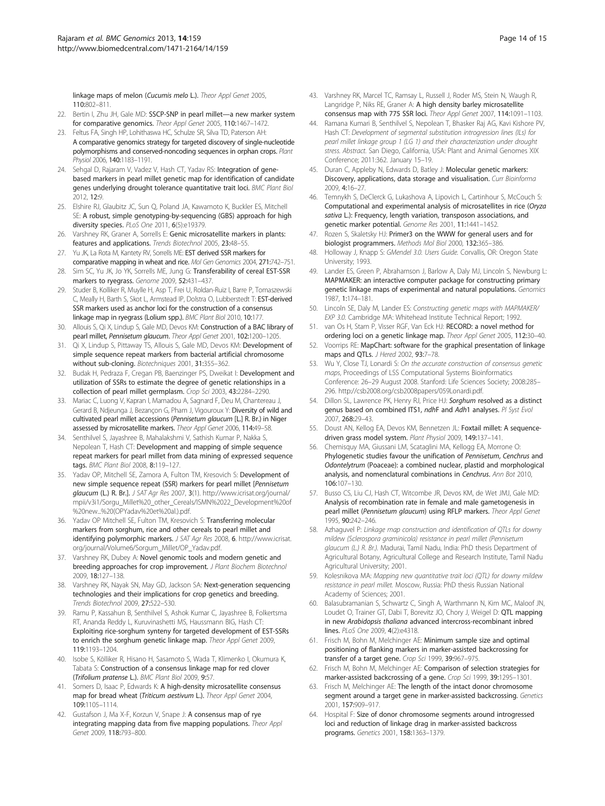<span id="page-14-0"></span>linkage maps of melon (Cucumis melo L.). Theor Appl Genet 2005, 110:802–811.

- 22. Bertin I, Zhu JH, Gale MD: SSCP-SNP in pearl millet—a new marker system for comparative genomics. Theor Appl Genet 2005, 110:1467–1472.
- 23. Feltus FA, Singh HP, Lohithaswa HC, Schulze SR, Silva TD, Paterson AH: A comparative genomics strategy for targeted discovery of single-nucleotide polymorphisms and conserved-noncoding sequences in orphan crops. Plant Physiol 2006, 140:1183–1191.
- 24. Sehgal D, Rajaram V, Vadez V, Hash CT, Yadav RS: Integration of genebased markers in pearl millet genetic map for identification of candidate genes underlying drought tolerance quantitative trait loci. BMC Plant Biol 2012, 12:9.
- 25. Elshire RJ, Glaubitz JC, Sun Q, Poland JA, Kawamoto K, Buckler ES, Mitchell SE: A robust, simple genotyping-by-sequencing (GBS) approach for high diversity species. PLoS One 2011, 6(5):e19379.
- 26. Varshney RK, Graner A, Sorrells E: Genic microsatellite markers in plants: features and applications. Trends Biotechnol 2005, 23:48–55.
- 27. Yu JK, La Rota M, Kantety RV, Sorrells ME: EST derived SSR markers for comparative mapping in wheat and rice. Mol Gen Genomics 2004, 271:742–751.
- 28. Sim SC, Yu JK, Jo YK, Sorrells ME, Jung G: Transferability of cereal EST-SSR markers to ryegrass. Genome 2009, 52:431–437.
- 29. Studer B, Kolliker R, Muylle H, Asp T, Frei U, Roldan-Ruiz I, Barre P, Tomaszewski C, Meally H, Barth S, Skot L, Armstead IP, Dolstra O, Lubberstedt T: EST-derived SSR markers used as anchor loci for the construction of a consensus linkage map in ryegrass (Lolium spp.). BMC Plant Biol 2010, 10:177.
- 30. Allouis S, Qi X, Lindup S, Gale MD, Devos KM: Construction of a BAC library of pearl millet, Pennisetum glaucum. Theor Appl Genet 2001, 102:1200–1205.
- 31. Qi X, Lindup S, Pittaway TS, Allouis S, Gale MD, Devos KM: Development of simple sequence repeat markers from bacterial artificial chromosome without sub-cloning. Biotechniques 2001, 31:355–362.
- 32. Budak H, Pedraza F, Cregan PB, Baenzinger PS, Dweikat I: Development and utilization of SSRs to estimate the degree of genetic relationships in a collection of pearl millet germplasm. Crop Sci 2003, 43:2284–2290.
- 33. Mariac C, Luong V, Kapran I, Mamadou A, Sagnard F, Deu M, Chantereau J, Gerard B, Ndjeunga J, Bezançon G, Pham J, Vigouroux Y: Diversity of wild and cultivated pearl millet accessions (Pennisetum glaucum [L.] R. Br.) in Niger assessed by microsatellite markers. Theor Appl Genet 2006, 114:49–58.
- 34. Senthilvel S, Jayashree B, Mahalakshmi V, Sathish Kumar P, Nakka S, Nepolean T, Hash CT: Development and mapping of simple sequence repeat markers for pearl millet from data mining of expressed sequence tags. BMC Plant Biol 2008, 8:119–127.
- 35. Yadav OP, Mitchell SE, Zamora A, Fulton TM, Kresovich S: Development of new simple sequence repeat (SSR) markers for pearl millet [Pennisetum glaucum (L.) R. Br.]. J SAT Agr Res 2007, 3(1). [http://www.icrisat.org/journal/](http://www.icrisat.org/journal/mpii/v3i1/Sorgu_Millet%20_other_Cereals/ISMN%2022_Development%20of%20new...%20(OPYadav%20et%20al.).pdf) [mpii/v3i1/Sorgu\\_Millet%20\\_other\\_Cereals/ISMN%2022\\_Development%20of](http://www.icrisat.org/journal/mpii/v3i1/Sorgu_Millet%20_other_Cereals/ISMN%2022_Development%20of%20new...%20(OPYadav%20et%20al.).pdf) [%20new...%20\(OPYadav%20et%20al.\).pdf.](http://www.icrisat.org/journal/mpii/v3i1/Sorgu_Millet%20_other_Cereals/ISMN%2022_Development%20of%20new...%20(OPYadav%20et%20al.).pdf)
- 36. Yadav OP Mitchell SE, Fulton TM, Kresovich S: Transferring molecular markers from sorghum, rice and other cereals to pearl millet and identifying polymorphic markers. J SAT Agr Res 2008, 6. [http://www.icrisat.](http://www.icrisat.org/journal/Volume6/Sorgum_Millet/OP_Yadav.pdf) [org/journal/Volume6/Sorgum\\_Millet/OP\\_Yadav.pdf.](http://www.icrisat.org/journal/Volume6/Sorgum_Millet/OP_Yadav.pdf)
- 37. Varshney RK, Dubey A: Novel genomic tools and modern genetic and breeding approaches for crop improvement. J Plant Biochem Biotechnol 2009, 18:127–138.
- 38. Varshney RK, Nayak SN, May GD, Jackson SA: Next-generation sequencing technologies and their implications for crop genetics and breeding. Trends Biotechnol 2009, 27:522–530.
- 39. Ramu P, Kassahun B, Senthilvel S, Ashok Kumar C, Jayashree B, Folkertsma RT, Ananda Reddy L, Kuruvinashetti MS, Haussmann BIG, Hash CT: Exploiting rice-sorghum synteny for targeted development of EST-SSRs to enrich the sorghum genetic linkage map. Theor Appl Genet 2009, 119:1193–1204.
- 40. Isobe S, Kölliker R, Hisano H, Sasamoto S, Wada T, Klimenko I, Okumura K, Tabata S: Construction of a consensus linkage map for red clover (Trifolium pratense L.). BMC Plant Biol 2009, 9:57.
- 41. Somers D, Isaac P, Edwards K: A high-density microsatellite consensus map for bread wheat (Triticum aestivum L.). Theor Appl Genet 2004, 109:1105–1114.
- 42. Gustafson J, Ma X-F, Korzun V, Snape J: A consensus map of rye integrating mapping data from five mapping populations. Theor Appl Genet 2009, 118:793–800.
- 43. Varshney RK, Marcel TC, Ramsay L, Russell J, Roder MS, Stein N, Waugh R, Langridge P, Niks RE, Graner A: A high density barley microsatellite consensus map with 775 SSR loci. Theor Appl Genet 2007, 114:1091–1103.
- 44. Ramana Kumari B, Senthilvel S, Nepolean T, Bhasker Raj AG, Kavi Kishore PV, Hash CT: Development of segmental substitution introgression lines (ILs) for pearl millet linkage group 1 (LG 1) and their characterization under drought stress. Abstract. San Diego, California, USA: Plant and Animal Genomes XIX Conference; 2011:362. January 15–19.
- 45. Duran C, Appleby N, Edwards D, Batley J: Molecular genetic markers: Discovery, applications, data storage and visualisation. Curr Bioinforma 2009, 4:16–27.
- 46. Temnykh S, DeClerck G, Lukashova A, Lipovich L, Cartinhour S, McCouch S: Computational and experimental analysis of microsatellites in rice (Oryza sativa L.): Frequency, length variation, transposon associations, and genetic marker potential. Genome Res 2001, 11:1441–1452.
- 47. Rozen S, Skaletsky HJ: Primer3 on the WWW for general users and for biologist programmers. Methods Mol Biol 2000, 132:365–386.
- 48. Holloway J, Knapp S: GMendel 3.0. Users Guide. Corvallis, OR: Oregon State University; 1993.
- 49. Lander ES, Green P, Abrahamson J, Barlow A, Daly MJ, Lincoln S, Newburg L: MAPMAKER: an interactive computer package for constructing primary genetic linkage maps of experimental and natural populations. Genomics 1987, 1:174–181.
- 50. Lincoln SE, Daly M, Lander ES: Constructing genetic maps with MAPMAKER/ EXP 3.0. Cambridge MA: Whitehead Institute Technical Report; 1992.
- 51. van Os H, Stam P, Visser RGF, Van Eck HJ: RECORD: a novel method for ordering loci on a genetic linkage map. Theor Appl Genet 2005, 112:30–40.
- 52. Voorrips RE: MapChart: software for the graphical presentation of linkage maps and QTLs. *J Hered* 2002, 93:7-78.
- 53. Wu Y, Close TJ, Lonardi S: On the accurate construction of consensus genetic maps, Proceedings of LSS Computational Systems Bioinformatics Conference: 26–29 August 2008. Stanford: Life Sciences Society; 2008:285– 296. [http://csb2008.org/csb2008papers/059Lonardi.pdf.](http://csb2008.org/csb2008papers/059Lonardi.pdf)
- 54. Dillon SL, Lawrence PK, Henry RJ, Price HJ: Sorghum resolved as a distinct genus based on combined ITS1, ndhF and Adh1 analyses. Pl Syst Evol 2007, 268:29–43.
- 55. Doust AN, Kellog EA, Devos KM, Bennetzen JL: Foxtail millet: A sequencedriven grass model system. Plant Physiol 2009, 149:137–141.
- 56. Chemisquy MA, Giussani LM, Scataglini MA, Kellogg EA, Morrone O: Phylogenetic studies favour the unification of Pennisetum, Cenchrus and Odontelytrum (Poaceae): a combined nuclear, plastid and morphological analysis, and nomenclatural combinations in Cenchrus. Ann Bot 2010, 106:107–130.
- 57. Busso CS, Liu CJ, Hash CT, Witcombe JR, Devos KM, de Wet JMJ, Gale MD: Analysis of recombination rate in female and male gametogenesis in pearl millet (Pennisetum glaucum) using RFLP markers. Theor Appl Genet 1995, 90:242–246.
- 58. Azhaguvel P: Linkage map construction and identification of QTLs for downy mildew (Sclerospora graminicola) resistance in pearl millet (Pennisetum glaucum (L.) R. Br.). Madurai, Tamil Nadu, India: PhD thesis Department of Agricultural Botany, Agricultural College and Research Institute, Tamil Nadu Agricultural University; 2001.
- 59. Kolesnikova MA: Mapping new quantitative trait loci (QTL) for downy mildew resistance in pearl millet. Moscow, Russia: PhD thesis Russian National Academy of Sciences; 2001.
- 60. Balasubramanian S, Schwartz C, Singh A, Warthmann N, Kim MC, Maloof JN, Loudet O, Trainer GT, Dabi T, Borevitz JO, Chory J, Weigel D: QTL mapping in new Arabidopsis thaliana advanced intercross-recombinant inbred lines. PLoS One 2009, 4(2):e4318.
- 61. Frisch M, Bohn M, Melchinger AE: Minimum sample size and optimal positioning of flanking markers in marker-assisted backcrossing for transfer of a target gene. Crop Sci 1999, 39:967-975.
- 62. Frisch M, Bohn M, Melchinger AE: Comparison of selection strategies for marker-assisted backcrossing of a gene. Crop Sci 1999, 39:1295–1301.
- 63. Frisch M, Melchinger AE: The length of the intact donor chromosome segment around a target gene in marker-assisted backcrossing. Genetics 2001, 157:909–917.
- 64. Hospital F: Size of donor chromosome segments around introgressed loci and reduction of linkage drag in marker-assisted backcross programs. Genetics 2001, 158:1363–1379.